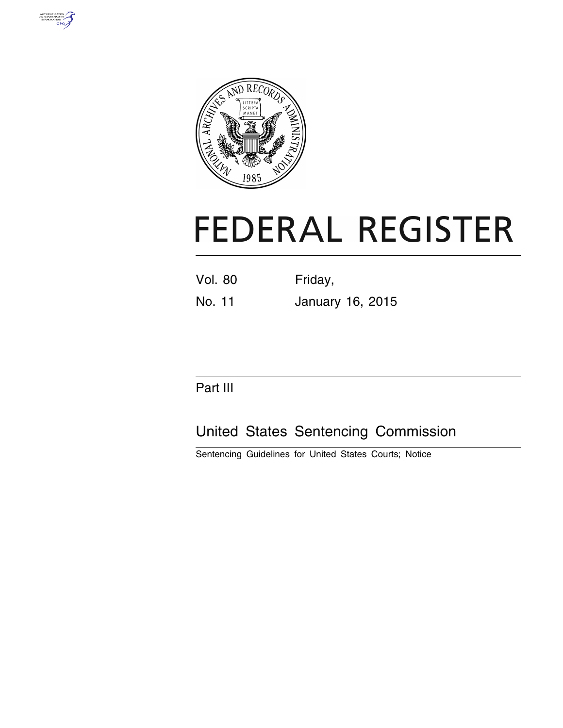



# **FEDERAL REGISTER**

Vol. 80 Friday,

No. 11 January 16, 2015

# Part III

# United States Sentencing Commission

Sentencing Guidelines for United States Courts; Notice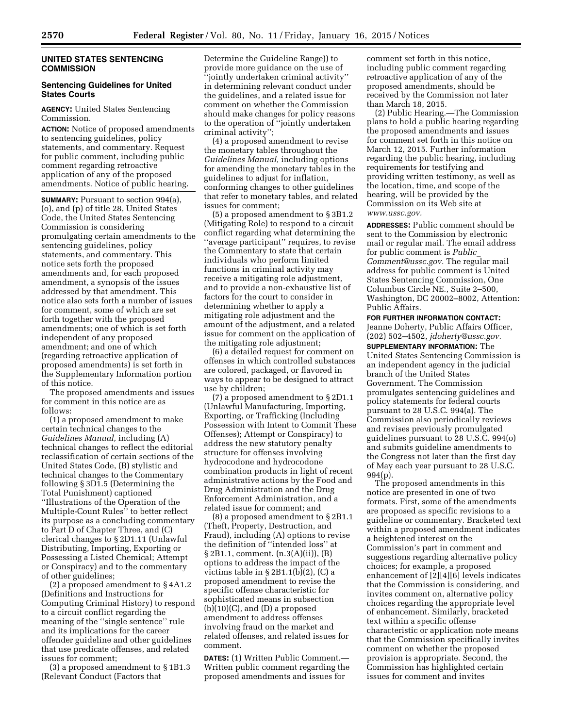# **UNITED STATES SENTENCING COMMISSION**

# **Sentencing Guidelines for United States Courts**

**AGENCY:** United States Sentencing Commission.

**ACTION:** Notice of proposed amendments to sentencing guidelines, policy statements, and commentary. Request for public comment, including public comment regarding retroactive application of any of the proposed amendments. Notice of public hearing.

**SUMMARY:** Pursuant to section 994(a), (o), and (p) of title 28, United States Code, the United States Sentencing Commission is considering promulgating certain amendments to the sentencing guidelines, policy statements, and commentary. This notice sets forth the proposed amendments and, for each proposed amendment, a synopsis of the issues addressed by that amendment. This notice also sets forth a number of issues for comment, some of which are set forth together with the proposed amendments; one of which is set forth independent of any proposed amendment; and one of which (regarding retroactive application of proposed amendments) is set forth in the Supplementary Information portion of this notice.

The proposed amendments and issues for comment in this notice are as follows:

(1) a proposed amendment to make certain technical changes to the *Guidelines Manual,* including (A) technical changes to reflect the editorial reclassification of certain sections of the United States Code, (B) stylistic and technical changes to the Commentary following § 3D1.5 (Determining the Total Punishment) captioned ''Illustrations of the Operation of the Multiple-Count Rules'' to better reflect its purpose as a concluding commentary to Part D of Chapter Three, and (C) clerical changes to § 2D1.11 (Unlawful Distributing, Importing, Exporting or Possessing a Listed Chemical; Attempt or Conspiracy) and to the commentary of other guidelines;

(2) a proposed amendment to § 4A1.2 (Definitions and Instructions for Computing Criminal History) to respond to a circuit conflict regarding the meaning of the ''single sentence'' rule and its implications for the career offender guideline and other guidelines that use predicate offenses, and related issues for comment;

(3) a proposed amendment to § 1B1.3 (Relevant Conduct (Factors that

Determine the Guideline Range)) to provide more guidance on the use of ''jointly undertaken criminal activity'' in determining relevant conduct under the guidelines, and a related issue for comment on whether the Commission should make changes for policy reasons to the operation of ''jointly undertaken criminal activity'';

(4) a proposed amendment to revise the monetary tables throughout the *Guidelines Manual,* including options for amending the monetary tables in the guidelines to adjust for inflation, conforming changes to other guidelines that refer to monetary tables, and related issues for comment;

(5) a proposed amendment to § 3B1.2 (Mitigating Role) to respond to a circuit conflict regarding what determining the "average participant" requires, to revise the Commentary to state that certain individuals who perform limited functions in criminal activity may receive a mitigating role adjustment, and to provide a non-exhaustive list of factors for the court to consider in determining whether to apply a mitigating role adjustment and the amount of the adjustment, and a related issue for comment on the application of the mitigating role adjustment;

(6) a detailed request for comment on offenses in which controlled substances are colored, packaged, or flavored in ways to appear to be designed to attract use by children;

(7) a proposed amendment to § 2D1.1 (Unlawful Manufacturing, Importing, Exporting, or Trafficking (Including Possession with Intent to Commit These Offenses); Attempt or Conspiracy) to address the new statutory penalty structure for offenses involving hydrocodone and hydrocodone combination products in light of recent administrative actions by the Food and Drug Administration and the Drug Enforcement Administration, and a related issue for comment; and

(8) a proposed amendment to § 2B1.1 (Theft, Property, Destruction, and Fraud), including (A) options to revise the definition of ''intended loss'' at § 2B1.1, comment. (n.3(A)(ii)), (B) options to address the impact of the victims table in § 2B1.1(b)(2), (C) a proposed amendment to revise the specific offense characteristic for sophisticated means in subsection  $(b)(10)(C)$ , and  $(D)$  a proposed amendment to address offenses involving fraud on the market and related offenses, and related issues for comment.

**DATES:** (1) Written Public Comment.— Written public comment regarding the proposed amendments and issues for

comment set forth in this notice, including public comment regarding retroactive application of any of the proposed amendments, should be received by the Commission not later than March 18, 2015.

(2) Public Hearing.—The Commission plans to hold a public hearing regarding the proposed amendments and issues for comment set forth in this notice on March 12, 2015. Further information regarding the public hearing, including requirements for testifying and providing written testimony, as well as the location, time, and scope of the hearing, will be provided by the Commission on its Web site at *[www.ussc.gov.](http://www.ussc.gov)* 

**ADDRESSES:** Public comment should be sent to the Commission by electronic mail or regular mail. The email address for public comment is *[Public](mailto:Public_Comment@ussc.gov)*\_ *[Comment@ussc.gov.](mailto:Public_Comment@ussc.gov)* The regular mail address for public comment is United States Sentencing Commission, One Columbus Circle NE., Suite 2–500, Washington, DC 20002–8002, Attention: Public Affairs.

**FOR FURTHER INFORMATION CONTACT:** 

Jeanne Doherty, Public Affairs Officer, (202) 502–4502, *[jdoherty@ussc.gov.](mailto:jdoherty@ussc.gov)* 

**SUPPLEMENTARY INFORMATION:** The United States Sentencing Commission is an independent agency in the judicial branch of the United States Government. The Commission promulgates sentencing guidelines and policy statements for federal courts pursuant to 28 U.S.C. 994(a). The Commission also periodically reviews and revises previously promulgated guidelines pursuant to 28 U.S.C. 994(o) and submits guideline amendments to the Congress not later than the first day of May each year pursuant to 28 U.S.C. 994(p).

The proposed amendments in this notice are presented in one of two formats. First, some of the amendments are proposed as specific revisions to a guideline or commentary. Bracketed text within a proposed amendment indicates a heightened interest on the Commission's part in comment and suggestions regarding alternative policy choices; for example, a proposed enhancement of [2][4][6] levels indicates that the Commission is considering, and invites comment on, alternative policy choices regarding the appropriate level of enhancement. Similarly, bracketed text within a specific offense characteristic or application note means that the Commission specifically invites comment on whether the proposed provision is appropriate. Second, the Commission has highlighted certain issues for comment and invites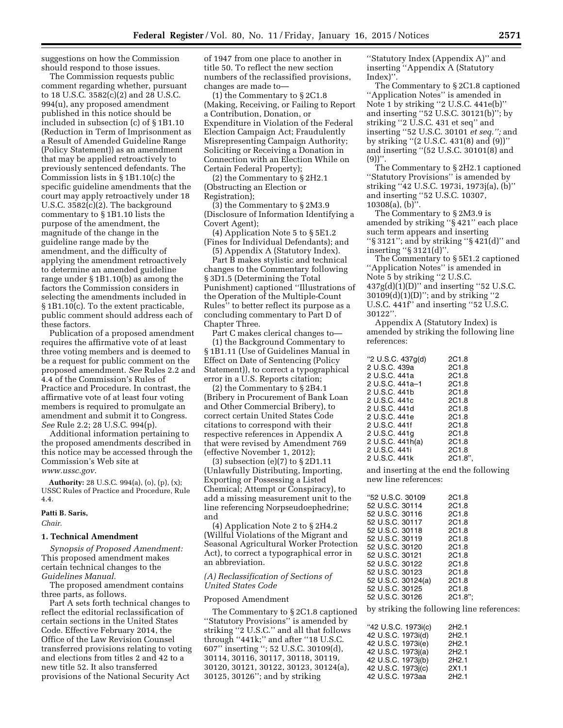suggestions on how the Commission should respond to those issues.

The Commission requests public comment regarding whether, pursuant to 18 U.S.C. 3582(c)(2) and 28 U.S.C. 994(u), any proposed amendment published in this notice should be included in subsection (c) of § 1B1.10 (Reduction in Term of Imprisonment as a Result of Amended Guideline Range (Policy Statement)) as an amendment that may be applied retroactively to previously sentenced defendants. The Commission lists in § 1B1.10(c) the specific guideline amendments that the court may apply retroactively under 18 U.S.C. 3582(c)(2). The background commentary to § 1B1.10 lists the purpose of the amendment, the magnitude of the change in the guideline range made by the amendment, and the difficulty of applying the amendment retroactively to determine an amended guideline range under § 1B1.10(b) as among the factors the Commission considers in selecting the amendments included in § 1B1.10(c). To the extent practicable, public comment should address each of these factors.

Publication of a proposed amendment requires the affirmative vote of at least three voting members and is deemed to be a request for public comment on the proposed amendment. *See* Rules 2.2 and 4.4 of the Commission's Rules of Practice and Procedure. In contrast, the affirmative vote of at least four voting members is required to promulgate an amendment and submit it to Congress. *See* Rule 2.2; 28 U.S.C. 994(p).

Additional information pertaining to the proposed amendments described in this notice may be accessed through the Commission's Web site at *[www.ussc.gov.](http://www.ussc.gov)* 

**Authority:** 28 U.S.C. 994(a), (o), (p), (x); USSC Rules of Practice and Procedure, Rule 4.4.

#### **Patti B. Saris,**

*Chair.* 

# **1. Technical Amendment**

*Synopsis of Proposed Amendment:*  This proposed amendment makes certain technical changes to the *Guidelines Manual.* 

The proposed amendment contains three parts, as follows.

Part A sets forth technical changes to reflect the editorial reclassification of certain sections in the United States Code. Effective February 2014, the Office of the Law Revision Counsel transferred provisions relating to voting and elections from titles 2 and 42 to a new title 52. It also transferred provisions of the National Security Act

of 1947 from one place to another in title 50. To reflect the new section numbers of the reclassified provisions, changes are made to—

(1) the Commentary to § 2C1.8 (Making, Receiving, or Failing to Report a Contribution, Donation, or Expenditure in Violation of the Federal Election Campaign Act; Fraudulently Misrepresenting Campaign Authority; Soliciting or Receiving a Donation in Connection with an Election While on Certain Federal Property);

(2) the Commentary to § 2H2.1 (Obstructing an Election or Registration);

(3) the Commentary to § 2M3.9 (Disclosure of Information Identifying a Covert Agent);

(4) Application Note 5 to § 5E1.2 (Fines for Individual Defendants); and

(5) Appendix A (Statutory Index). Part B makes stylistic and technical

changes to the Commentary following § 3D1.5 (Determining the Total Punishment) captioned ''Illustrations of the Operation of the Multiple-Count Rules'' to better reflect its purpose as a concluding commentary to Part D of Chapter Three.

Part C makes clerical changes to—

(1) the Background Commentary to § 1B1.11 (Use of Guidelines Manual in Effect on Date of Sentencing (Policy Statement)), to correct a typographical error in a U.S. Reports citation;

(2) the Commentary to § 2B4.1 (Bribery in Procurement of Bank Loan and Other Commercial Bribery), to correct certain United States Code citations to correspond with their respective references in Appendix A that were revised by Amendment 769 (effective November 1, 2012);

(3) subsection (e)(7) to § 2D1.11 (Unlawfully Distributing, Importing, Exporting or Possessing a Listed Chemical; Attempt or Conspiracy), to add a missing measurement unit to the line referencing Norpseudoephedrine; and

(4) Application Note 2 to § 2H4.2 (Willful Violations of the Migrant and Seasonal Agricultural Worker Protection Act), to correct a typographical error in an abbreviation.

#### *(A) Reclassification of Sections of United States Code*

#### Proposed Amendment

The Commentary to § 2C1.8 captioned ''Statutory Provisions'' is amended by striking ''2 U.S.C.'' and all that follows through ''441k;'' and after ''18 U.S.C. 607'' inserting ''; 52 U.S.C. 30109(d), 30114, 30116, 30117, 30118, 30119, 30120, 30121, 30122, 30123, 30124(a), 30125, 30126''; and by striking

''Statutory Index (Appendix A)'' and inserting ''Appendix A (Statutory Index)''.

The Commentary to § 2C1.8 captioned ''Application Notes'' is amended in Note 1 by striking ''2 U.S.C. 441e(b)'' and inserting ''52 U.S.C. 30121(b)''; by striking ''2 U.S.C. 431 et seq'' and inserting ''52 U.S.C. 30101 *et seq.'';* and by striking ''(2 U.S.C. 431(8) and (9))'' and inserting ''(52 U.S.C. 30101(8) and  $(9)$ )''.

The Commentary to § 2H2.1 captioned ''Statutory Provisions'' is amended by striking ''42 U.S.C. 1973i, 1973j(a), (b)'' and inserting ''52 U.S.C. 10307,  $10308(a)$ , (b)".

The Commentary to § 2M3.9 is amended by striking ''§ 421'' each place such term appears and inserting ''§ 3121''; and by striking ''§ 421(d)'' and inserting ''§ 3121(d)''.

The Commentary to § 5E1.2 captioned ''Application Notes'' is amended in Note 5 by striking ''2 U.S.C.  $437g(d)(1)(D)$ " and inserting "52 U.S.C. 30109(d)(1)(D)''; and by striking ''2 U.S.C. 441f'' and inserting ''52 U.S.C. 30122''.

Appendix A (Statutory Index) is amended by striking the following line references:

| "2 U.S.C. 437g(d) | 2C1.8   |
|-------------------|---------|
| 2 U.S.C. 439a     | 2C1.8   |
| 2 U.S.C. 441a     | 2C1.8   |
| 2 U.S.C. 441a–1   | 2C1.8   |
| 2 U.S.C. 441b     | 2C1.8   |
| 2 U.S.C. 441c     | 2C1.8   |
| 2 U.S.C. 441d     | 2C1.8   |
| 2 U.S.C. 441e     | 2C1.8   |
| 2 U.S.C. 441f     | 2C1.8   |
| 2 U.S.C. 441a     | 2C1.8   |
| 2 U.S.C. 441h(a)  | 2C1.8   |
| 2 U.S.C. 441i     | 2C1.8   |
| 2 U.S.C. 441k     | 2C1.8", |
|                   |         |

and inserting at the end the following new line references:

| "52 U.S.C. 30109   | 2C <sub>1.8</sub> |
|--------------------|-------------------|
| 52 U.S.C. 30114    | 2C1.8             |
| 52 U.S.C. 30116    | 2C1.8             |
| 52 U.S.C. 30117    | 2C1.8             |
| 52 U.S.C. 30118    | 2C1.8             |
| 52 U.S.C. 30119    | 2C1.8             |
| 52 U.S.C. 30120    | 2C1.8             |
| 52 U.S.C. 30121    | 2C1.8             |
| 52 U.S.C. 30122    | 2C1.8             |
| 52 U.S.C. 30123    | 2C1.8             |
| 52 U.S.C. 30124(a) | 2C1.8             |
| 52 U.S.C. 30125    | 2C1.8             |
| 52 U.S.C. 30126    | 2C1.8";           |
|                    |                   |

by striking the following line references:

| "42 U.S.C. 1973i(c) | 2H <sub>2.1</sub> |
|---------------------|-------------------|
| 42 U.S.C. 1973i(d)  | 2H <sub>2.1</sub> |
| 42 U.S.C. 1973i(e)  | 2H <sub>2.1</sub> |
| 42 U.S.C. 1973j(a)  | 2H <sub>2.1</sub> |
| 42 U.S.C. 1973j(b)  | 2H <sub>2.1</sub> |
| 42 U.S.C. 1973i(c)  | 2X1.1             |
| 42 U.S.C. 1973aa    | 2H <sub>2.1</sub> |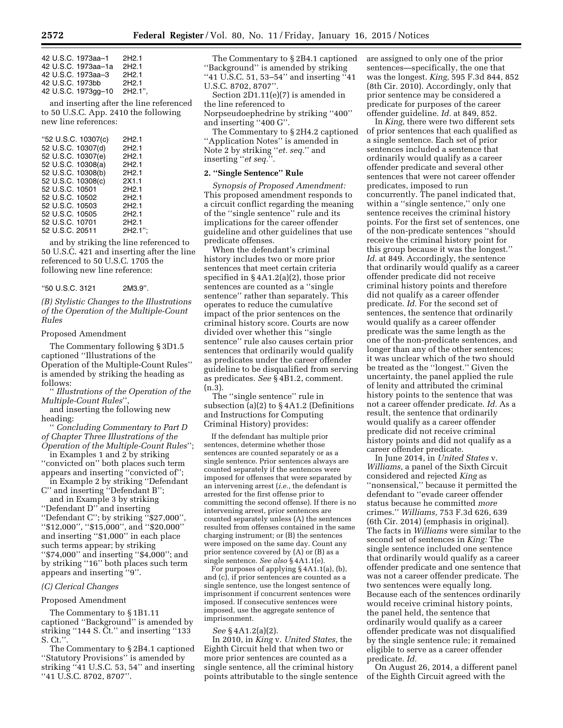42 U.S.C. 1973aa–1 2H2.1 42 U.S.C. 1973aa–1a 2H2.1 42 U.S.C. 1973aa–3 2H2.1 42 U.S.C. 1973bb 42 U.S.C. 1973gg–10 2H2.1'',

and inserting after the line referenced to 50 U.S.C. App. 2410 the following new line references:

| "52 U.S.C. 10307(c) | 2H <sub>2.1</sub> |
|---------------------|-------------------|
| 52 U.S.C. 10307(d)  | 2H <sub>2.1</sub> |
| 52 U.S.C. 10307(e)  | 2H <sub>2.1</sub> |
| 52 U.S.C. 10308(a)  | 2H2.1             |
| 52 U.S.C. 10308(b)  | 2H <sub>2.1</sub> |
| 52 U.S.C. 10308(c)  | 2X1.1             |
| 52 U.S.C. 10501     | 2H <sub>2.1</sub> |
| 52 U.S.C. 10502     | 2H <sub>2.1</sub> |
| 52 U.S.C. 10503     | 2H <sub>2.1</sub> |
| 52 U.S.C. 10505     | 2H <sub>2.1</sub> |
| 52 U.S.C. 10701     | 2H <sub>2.1</sub> |
| 52 U.S.C. 20511     | 2H2.1":           |

and by striking the line referenced to 50 U.S.C. 421 and inserting after the line referenced to 50 U.S.C. 1705 the following new line reference:

''50 U.S.C. 3121 2M3.9''.

*(B) Stylistic Changes to the Illustrations of the Operation of the Multiple-Count Rules* 

#### Proposed Amendment

The Commentary following § 3D1.5 captioned ''Illustrations of the Operation of the Multiple-Count Rules'' is amended by striking the heading as follows:

'' *Illustrations of the Operation of the Multiple-Count Rules*'',

and inserting the following new heading:

'' *Concluding Commentary to Part D of Chapter Three Illustrations of the Operation of the Multiple-Count Rules*'';

in Examples 1 and 2 by striking ''convicted on'' both places such term

appears and inserting ''convicted of''; in Example 2 by striking ''Defendant

C'' and inserting ''Defendant B''; and in Example 3 by striking

''Defendant D'' and inserting ''Defendant C''; by striking ''\$27,000'', ''\$12,000'', ''\$15,000'', and ''\$20,000'' and inserting ''\$1,000'' in each place such terms appear; by striking ''\$74,000'' and inserting ''\$4,000''; and by striking ''16'' both places such term appears and inserting ''9''.

#### *(C) Clerical Changes*

#### Proposed Amendment

The Commentary to § 1B1.11 captioned ''Background'' is amended by striking ''144 S. Ct.'' and inserting ''133 S. Ct.''.

The Commentary to § 2B4.1 captioned ''Statutory Provisions'' is amended by striking ''41 U.S.C. 53, 54'' and inserting ''41 U.S.C. 8702, 8707''.

The Commentary to § 2B4.1 captioned ''Background'' is amended by striking ''41 U.S.C. 51, 53–54'' and inserting ''41 U.S.C. 8702, 8707"

Section 2D1.11(e)(7) is amended in the line referenced to Norpseudoephedrine by striking ''400'' and inserting ''400 G''.

The Commentary to § 2H4.2 captioned ''Application Notes'' is amended in Note 2 by striking ''*et. seq.*'' and inserting "et seq."

#### **2. ''Single Sentence'' Rule**

*Synopsis of Proposed Amendment:*  This proposed amendment responds to a circuit conflict regarding the meaning of the ''single sentence'' rule and its implications for the career offender guideline and other guidelines that use predicate offenses.

When the defendant's criminal history includes two or more prior sentences that meet certain criteria specified in § 4A1.2(a)(2), those prior sentences are counted as a ''single sentence'' rather than separately. This operates to reduce the cumulative impact of the prior sentences on the criminal history score. Courts are now divided over whether this ''single sentence'' rule also causes certain prior sentences that ordinarily would qualify as predicates under the career offender guideline to be disqualified from serving as predicates. *See* § 4B1.2, comment. (n.3).

The ''single sentence'' rule in subsection (a)(2) to § 4A1.2 (Definitions and Instructions for Computing Criminal History) provides:

If the defendant has multiple prior sentences, determine whether those sentences are counted separately or as a single sentence. Prior sentences always are counted separately if the sentences were imposed for offenses that were separated by an intervening arrest (*i.e.,* the defendant is arrested for the first offense prior to committing the second offense). If there is no intervening arrest, prior sentences are counted separately unless (A) the sentences resulted from offenses contained in the same charging instrument; or (B) the sentences were imposed on the same day. Count any prior sentence covered by (A) or (B) as a single sentence. *See also* § 4A1.1(e).

For purposes of applying § 4A1.1(a), (b), and (c), if prior sentences are counted as a single sentence, use the longest sentence of imprisonment if concurrent sentences were imposed. If consecutive sentences were imposed, use the aggregate sentence of imprisonment.

*See* § 4A1.2(a)(2).

In 2010, in *King* v. *United States,* the Eighth Circuit held that when two or more prior sentences are counted as a single sentence, all the criminal history points attributable to the single sentence are assigned to only one of the prior sentences—specifically, the one that was the longest. *King,* 595 F.3d 844, 852 (8th Cir. 2010). Accordingly, only that prior sentence may be considered a predicate for purposes of the career offender guideline. *Id.* at 849, 852.

In *King,* there were two different sets of prior sentences that each qualified as a single sentence. Each set of prior sentences included a sentence that ordinarily would qualify as a career offender predicate and several other sentences that were not career offender predicates, imposed to run concurrently. The panel indicated that, within a "single sentence," only one sentence receives the criminal history points. For the first set of sentences, one of the non-predicate sentences ''should receive the criminal history point for this group because it was the longest.'' *Id.* at 849. Accordingly, the sentence that ordinarily would qualify as a career offender predicate did not receive criminal history points and therefore did not qualify as a career offender predicate. *Id.* For the second set of sentences, the sentence that ordinarily would qualify as a career offender predicate was the same length as the one of the non-predicate sentences, and longer than any of the other sentences; it was unclear which of the two should be treated as the ''longest.'' Given the uncertainty, the panel applied the rule of lenity and attributed the criminal history points to the sentence that was not a career offender predicate. *Id.* As a result, the sentence that ordinarily would qualify as a career offender predicate did not receive criminal history points and did not qualify as a career offender predicate.

In June 2014, in *United States* v. *Williams,* a panel of the Sixth Circuit considered and rejected *King* as ''nonsensical,'' because it permitted the defendant to ''evade career offender status because he committed *more*  crimes.'' *Williams,* 753 F.3d 626, 639 (6th Cir. 2014) (emphasis in original). The facts in *Williams* were similar to the second set of sentences in *King:* The single sentence included one sentence that ordinarily would qualify as a career offender predicate and one sentence that was not a career offender predicate. The two sentences were equally long. Because each of the sentences ordinarily would receive criminal history points, the panel held, the sentence that ordinarily would qualify as a career offender predicate was not disqualified by the single sentence rule; it remained eligible to serve as a career offender predicate. *Id.* 

On August 26, 2014, a different panel of the Eighth Circuit agreed with the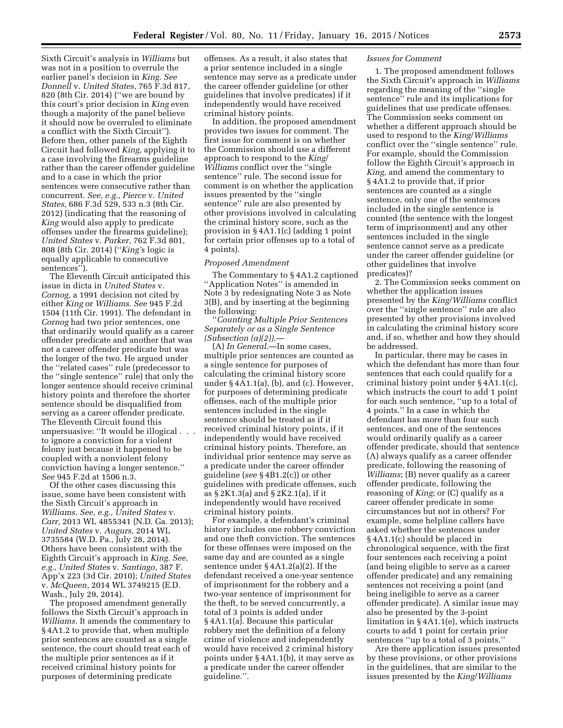Sixth Circuit's analysis in *Williams* but was not in a position to overrule the earlier panel's decision in *King. See Donnell* v. *United States,* 765 F.3d 817, 820 (8th Cir. 2014) (''we are bound by this court's prior decision in *King* even though a majority of the panel believe it should now be overruled to eliminate a conflict with the Sixth Circuit''). Before then, other panels of the Eighth Circuit had followed *King,* applying it to a case involving the firearms guideline rather than the career offender guideline and to a case in which the prior sentences were consecutive rather than concurrent. *See, e.g., Pierce* v. *United States,* 686 F.3d 529, 533 n.3 (8th Cir. 2012) (indicating that the reasoning of *King* would also apply to predicate offenses under the firearms guideline); *United States* v. *Parker,* 762 F.3d 801, 808 (8th Cir. 2014) (''*King'*s logic is equally applicable to consecutive sentences'').

The Eleventh Circuit anticipated this issue in dicta in *United States* v. *Cornog,* a 1991 decision not cited by either *King* or *Williams*. *See* 945 F.2d 1504 (11th Cir. 1991). The defendant in *Cornog* had two prior sentences, one that ordinarily would qualify as a career offender predicate and another that was not a career offender predicate but was the longer of the two. He argued under the ''related cases'' rule (predecessor to the ''single sentence'' rule) that only the longer sentence should receive criminal history points and therefore the shorter sentence should be disqualified from serving as a career offender predicate. The Eleventh Circuit found this unpersuasive: ''It would be illogical . . . to ignore a conviction for a violent felony just because it happened to be coupled with a nonviolent felony conviction having a longer sentence.'' *See* 945 F.2d at 1506 n.3.

Of the other cases discussing this issue, some have been consistent with the Sixth Circuit's approach in *Williams*. *See, e.g., United States* v. *Carr,* 2013 WL 4855341 (N.D. Ga. 2013); *United States* v. *Augurs,* 2014 WL 3735584 (W.D. Pa., July 28, 2014). Others have been consistent with the Eighth Circuit's approach in *King. See, e.g., United States* v. *Santiago,* 387 F. App'x 223 (3d Cir. 2010); *United States*  v. *McQueen,* 2014 WL 3749215 (E.D. Wash., July 29, 2014).

The proposed amendment generally follows the Sixth Circuit's approach in *Williams.* It amends the commentary to § 4A1.2 to provide that, when multiple prior sentences are counted as a single sentence, the court should treat each of the multiple prior sentences as if it received criminal history points for purposes of determining predicate

offenses. As a result, it also states that a prior sentence included in a single sentence may serve as a predicate under the career offender guideline (or other guidelines that involve predicates) if it independently would have received criminal history points.

In addition, the proposed amendment provides two issues for comment. The first issue for comment is on whether the Commission should use a different approach to respond to the *King*/ *Williams* conflict over the ''single sentence'' rule. The second issue for comment is on whether the application issues presented by the ''single sentence'' rule are also presented by other provisions involved in calculating the criminal history score, such as the provision in § 4A1.1(c) (adding 1 point for certain prior offenses up to a total of 4 points).

#### *Proposed Amendment*

The Commentary to § 4A1.2 captioned ''Application Notes'' is amended in Note 3 by redesignating Note 3 as Note 3(B), and by inserting at the beginning the following:

''*Counting Multiple Prior Sentences Separately or as a Single Sentence (Subsection (a)(2))*.—

(A) *In General*.—In some cases, multiple prior sentences are counted as a single sentence for purposes of calculating the criminal history score under § 4A1.1(a), (b), and (c). However, for purposes of determining predicate offenses, each of the multiple prior sentences included in the single sentence should be treated as if it received criminal history points, if it independently would have received criminal history points. Therefore, an individual prior sentence may serve as a predicate under the career offender guideline (*see* § 4B1.2(c)) or other guidelines with predicate offenses, such as § 2K1.3(a) and § 2K2.1(a), if it independently would have received criminal history points.

For example, a defendant's criminal history includes one robbery conviction and one theft conviction. The sentences for these offenses were imposed on the same day and are counted as a single sentence under § 4A1.2(a)(2). If the defendant received a one-year sentence of imprisonment for the robbery and a two-year sentence of imprisonment for the theft, to be served concurrently, a total of 3 points is added under § 4A1.1(a). Because this particular robbery met the definition of a felony crime of violence and independently would have received 2 criminal history points under § 4A1.1(b), it may serve as a predicate under the career offender guideline.''.

#### *Issues for Comment*

1. The proposed amendment follows the Sixth Circuit's approach in *Williams*  regarding the meaning of the ''single sentence'' rule and its implications for guidelines that use predicate offenses. The Commission seeks comment on whether a different approach should be used to respond to the *King*/*Williams*  conflict over the ''single sentence'' rule. For example, should the Commission follow the Eighth Circuit's approach in *King,* and amend the commentary to § 4A1.2 to provide that, if prior sentences are counted as a single sentence, only one of the sentences included in the single sentence is counted (the sentence with the longest term of imprisonment) and any other sentences included in the single sentence cannot serve as a predicate under the career offender guideline (or other guidelines that involve predicates)?

2. The Commission seeks comment on whether the application issues presented by the *King*/*Williams* conflict over the ''single sentence'' rule are also presented by other provisions involved in calculating the criminal history score and, if so, whether and how they should be addressed.

In particular, there may be cases in which the defendant has more than four sentences that each could qualify for a criminal history point under § 4A1.1(c), which instructs the court to add 1 point for each such sentence, ''up to a total of 4 points.'' In a case in which the defendant has more than four such sentences, and one of the sentences would ordinarily qualify as a career offender predicate, should that sentence (A) always qualify as a career offender predicate, following the reasoning of *Williams*; (B) never qualify as a career offender predicate, following the reasoning of *King*; or (C) qualify as a career offender predicate in some circumstances but not in others? For example, some helpline callers have asked whether the sentences under § 4A1.1(c) should be placed in chronological sequence, with the first four sentences each receiving a point (and being eligible to serve as a career offender predicate) and any remaining sentences not receiving a point (and being ineligible to serve as a career offender predicate). A similar issue may also be presented by the 3-point limitation in § 4A1.1(e), which instructs courts to add 1 point for certain prior sentences ''up to a total of 3 points.''

Are there application issues presented by these provisions, or other provisions in the guidelines, that are similar to the issues presented by the *King*/*Williams*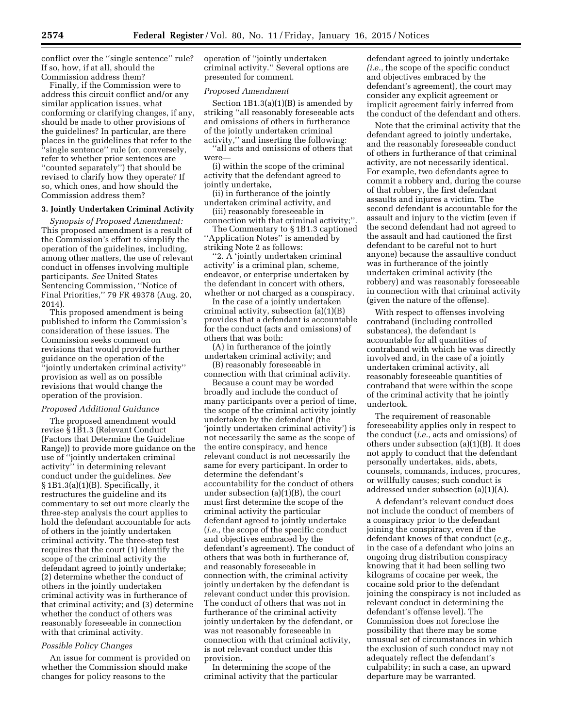conflict over the ''single sentence'' rule? If so, how, if at all, should the Commission address them?

Finally, if the Commission were to address this circuit conflict and/or any similar application issues, what conforming or clarifying changes, if any, should be made to other provisions of the guidelines? In particular, are there places in the guidelines that refer to the ''single sentence'' rule (or, conversely, refer to whether prior sentences are ''counted separately'') that should be revised to clarify how they operate? If so, which ones, and how should the Commission address them?

# **3. Jointly Undertaken Criminal Activity**

*Synopsis of Proposed Amendment:*  This proposed amendment is a result of the Commission's effort to simplify the operation of the guidelines, including, among other matters, the use of relevant conduct in offenses involving multiple participants. *See* United States Sentencing Commission, ''Notice of Final Priorities,'' 79 FR 49378 (Aug. 20, 2014).

This proposed amendment is being published to inform the Commission's consideration of these issues. The Commission seeks comment on revisions that would provide further guidance on the operation of the ''jointly undertaken criminal activity'' provision as well as on possible revisions that would change the operation of the provision.

#### *Proposed Additional Guidance*

The proposed amendment would revise § 1B1.3 (Relevant Conduct (Factors that Determine the Guideline Range)) to provide more guidance on the use of ''jointly undertaken criminal activity'' in determining relevant conduct under the guidelines. *See*  § 1B1.3(a)(1)(B). Specifically, it restructures the guideline and its commentary to set out more clearly the three-step analysis the court applies to hold the defendant accountable for acts of others in the jointly undertaken criminal activity. The three-step test requires that the court (1) identify the scope of the criminal activity the defendant agreed to jointly undertake; (2) determine whether the conduct of others in the jointly undertaken criminal activity was in furtherance of that criminal activity; and (3) determine whether the conduct of others was reasonably foreseeable in connection with that criminal activity.

## *Possible Policy Changes*

An issue for comment is provided on whether the Commission should make changes for policy reasons to the

operation of ''jointly undertaken criminal activity.'' Several options are presented for comment.

# *Proposed Amendment*

Section 1B1.3(a)(1)(B) is amended by striking ''all reasonably foreseeable acts and omissions of others in furtherance of the jointly undertaken criminal activity,'' and inserting the following:

''all acts and omissions of others that were—

(i) within the scope of the criminal activity that the defendant agreed to jointly undertake,

(ii) in furtherance of the jointly undertaken criminal activity, and

(iii) reasonably foreseeable in connection with that criminal activity;''.

The Commentary to § 1B1.3 captioned ''Application Notes'' is amended by

striking Note 2 as follows: ''2. A 'jointly undertaken criminal activity' is a criminal plan, scheme,

endeavor, or enterprise undertaken by the defendant in concert with others, whether or not charged as a conspiracy.

In the case of a jointly undertaken criminal activity, subsection (a)(1)(B) provides that a defendant is accountable for the conduct (acts and omissions) of others that was both:

(A) in furtherance of the jointly undertaken criminal activity; and (B) reasonably foreseeable in

connection with that criminal activity. Because a count may be worded

broadly and include the conduct of many participants over a period of time, the scope of the criminal activity jointly undertaken by the defendant (the 'jointly undertaken criminal activity') is not necessarily the same as the scope of the entire conspiracy, and hence relevant conduct is not necessarily the same for every participant. In order to determine the defendant's accountability for the conduct of others under subsection (a)(1)(B), the court must first determine the scope of the criminal activity the particular defendant agreed to jointly undertake (*i.e.,* the scope of the specific conduct and objectives embraced by the defendant's agreement). The conduct of others that was both in furtherance of, and reasonably foreseeable in connection with, the criminal activity jointly undertaken by the defendant is relevant conduct under this provision. The conduct of others that was not in furtherance of the criminal activity jointly undertaken by the defendant, or was not reasonably foreseeable in connection with that criminal activity, is not relevant conduct under this provision.

In determining the scope of the criminal activity that the particular

defendant agreed to jointly undertake *(i.e.,* the scope of the specific conduct and objectives embraced by the defendant's agreement), the court may consider any explicit agreement or implicit agreement fairly inferred from the conduct of the defendant and others.

Note that the criminal activity that the defendant agreed to jointly undertake, and the reasonably foreseeable conduct of others in furtherance of that criminal activity, are not necessarily identical. For example, two defendants agree to commit a robbery and, during the course of that robbery, the first defendant assaults and injures a victim. The second defendant is accountable for the assault and injury to the victim (even if the second defendant had not agreed to the assault and had cautioned the first defendant to be careful not to hurt anyone) because the assaultive conduct was in furtherance of the jointly undertaken criminal activity (the robbery) and was reasonably foreseeable in connection with that criminal activity (given the nature of the offense).

With respect to offenses involving contraband (including controlled substances), the defendant is accountable for all quantities of contraband with which he was directly involved and, in the case of a jointly undertaken criminal activity, all reasonably foreseeable quantities of contraband that were within the scope of the criminal activity that he jointly undertook.

The requirement of reasonable foreseeability applies only in respect to the conduct (*i.e.,* acts and omissions) of others under subsection (a)(1)(B). It does not apply to conduct that the defendant personally undertakes, aids, abets, counsels, commands, induces, procures, or willfully causes; such conduct is addressed under subsection (a)(1)(A).

A defendant's relevant conduct does not include the conduct of members of a conspiracy prior to the defendant joining the conspiracy, even if the defendant knows of that conduct (*e.g.,*  in the case of a defendant who joins an ongoing drug distribution conspiracy knowing that it had been selling two kilograms of cocaine per week, the cocaine sold prior to the defendant joining the conspiracy is not included as relevant conduct in determining the defendant's offense level). The Commission does not foreclose the possibility that there may be some unusual set of circumstances in which the exclusion of such conduct may not adequately reflect the defendant's culpability; in such a case, an upward departure may be warranted.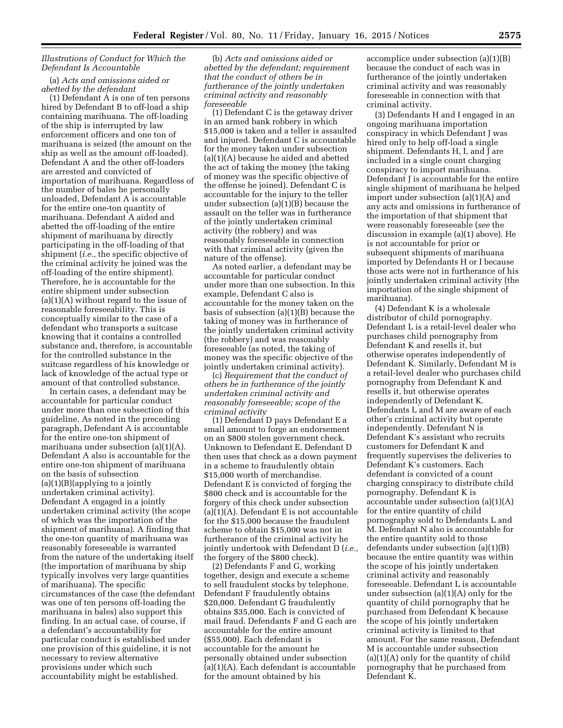# *Illustrations of Conduct for Which the Defendant Is Accountable*

(a) *Acts and omissions aided or abetted by the defendant* 

(1) Defendant A is one of ten persons hired by Defendant B to off-load a ship containing marihuana. The off-loading of the ship is interrupted by law enforcement officers and one ton of marihuana is seized (the amount on the ship as well as the amount off-loaded). Defendant A and the other off-loaders are arrested and convicted of importation of marihuana. Regardless of the number of bales he personally unloaded, Defendant A is accountable for the entire one-ton quantity of marihuana. Defendant A aided and abetted the off-loading of the entire shipment of marihuana by directly participating in the off-loading of that shipment (*i.e.,* the specific objective of the criminal activity he joined was the off-loading of the entire shipment). Therefore, he is accountable for the entire shipment under subsection  $(a)(1)(A)$  without regard to the issue of reasonable foreseeability. This is conceptually similar to the case of a defendant who transports a suitcase knowing that it contains a controlled substance and, therefore, is accountable for the controlled substance in the suitcase regardless of his knowledge or lack of knowledge of the actual type or amount of that controlled substance.

In certain cases, a defendant may be accountable for particular conduct under more than one subsection of this guideline. As noted in the preceding paragraph, Defendant A is accountable for the entire one-ton shipment of marihuana under subsection (a)(1)(A). Defendant A also is accountable for the entire one-ton shipment of marihuana on the basis of subsection  $(a)(1)(B)(applying to a jointly)$ undertaken criminal activity). Defendant A engaged in a jointly undertaken criminal activity (the scope of which was the importation of the shipment of marihuana). A finding that the one-ton quantity of marihuana was reasonably foreseeable is warranted from the nature of the undertaking itself (the importation of marihuana by ship typically involves very large quantities of marihuana). The specific circumstances of the case (the defendant was one of ten persons off-loading the marihuana in bales) also support this finding. In an actual case, of course, if a defendant's accountability for particular conduct is established under one provision of this guideline, it is not necessary to review alternative provisions under which such accountability might be established.

(b) *Acts and omissions aided or abetted by the defendant; requirement that the conduct of others be in furtherance of the jointly undertaken criminal activity and reasonably foreseeable* 

(1) Defendant C is the getaway driver in an armed bank robbery in which \$15,000 is taken and a teller is assaulted and injured. Defendant C is accountable for the money taken under subsection (a)(1)(A) because he aided and abetted the act of taking the money (the taking of money was the specific objective of the offense he joined). Defendant C is accountable for the injury to the teller under subsection (a)(1)(B) because the assault on the teller was in furtherance of the jointly undertaken criminal activity (the robbery) and was reasonably foreseeable in connection with that criminal activity (given the nature of the offense).

As noted earlier, a defendant may be accountable for particular conduct under more than one subsection. In this example, Defendant C also is accountable for the money taken on the basis of subsection (a)(1)(B) because the taking of money was in furtherance of the jointly undertaken criminal activity (the robbery) and was reasonably foreseeable (as noted, the taking of money was the specific objective of the jointly undertaken criminal activity).

(c) *Requirement that the conduct of others be in furtherance of the jointly undertaken criminal activity and reasonably foreseeable; scope of the criminal activity* 

(1) Defendant D pays Defendant E a small amount to forge an endorsement on an \$800 stolen government check. Unknown to Defendant E, Defendant D then uses that check as a down payment in a scheme to fraudulently obtain \$15,000 worth of merchandise. Defendant E is convicted of forging the \$800 check and is accountable for the forgery of this check under subsection  $(a)(1)(A)$ . Defendant E is not accountable for the \$15,000 because the fraudulent scheme to obtain \$15,000 was not in furtherance of the criminal activity he jointly undertook with Defendant D (*i.e.,*  the forgery of the \$800 check).

(2) Defendants F and G, working together, design and execute a scheme to sell fraudulent stocks by telephone. Defendant F fraudulently obtains \$20,000. Defendant G fraudulently obtains \$35,000. Each is convicted of mail fraud. Defendants F and G each are accountable for the entire amount (\$55,000). Each defendant is accountable for the amount he personally obtained under subsection (a)(1)(A). Each defendant is accountable for the amount obtained by his

accomplice under subsection (a)(1)(B) because the conduct of each was in furtherance of the jointly undertaken criminal activity and was reasonably foreseeable in connection with that criminal activity.

(3) Defendants H and I engaged in an ongoing marihuana importation conspiracy in which Defendant J was hired only to help off-load a single shipment. Defendants H, I, and J are included in a single count charging conspiracy to import marihuana. Defendant J is accountable for the entire single shipment of marihuana he helped import under subsection (a)(1)(A) and any acts and omissions in furtherance of the importation of that shipment that were reasonably foreseeable (*see* the discussion in example (a)(1) above). He is not accountable for prior or subsequent shipments of marihuana imported by Defendants H or I because those acts were not in furtherance of his jointly undertaken criminal activity (the importation of the single shipment of marihuana).

(4) Defendant K is a wholesale distributor of child pornography. Defendant L is a retail-level dealer who purchases child pornography from Defendant K and resells it, but otherwise operates independently of Defendant K. Similarly, Defendant M is a retail-level dealer who purchases child pornography from Defendant K and resells it, but otherwise operates independently of Defendant K. Defendants L and M are aware of each other's criminal activity but operate independently. Defendant N is Defendant K's assistant who recruits customers for Defendant K and frequently supervises the deliveries to Defendant K's customers. Each defendant is convicted of a count charging conspiracy to distribute child pornography. Defendant K is accountable under subsection (a)(1)(A) for the entire quantity of child pornography sold to Defendants L and M. Defendant N also is accountable for the entire quantity sold to those defendants under subsection (a)(1)(B) because the entire quantity was within the scope of his jointly undertaken criminal activity and reasonably foreseeable. Defendant L is accountable under subsection (a)(1)(A) only for the quantity of child pornography that he purchased from Defendant K because the scope of his jointly undertaken criminal activity is limited to that amount. For the same reason, Defendant M is accountable under subsection  $(a)(1)(A)$  only for the quantity of child pornography that he purchased from Defendant K.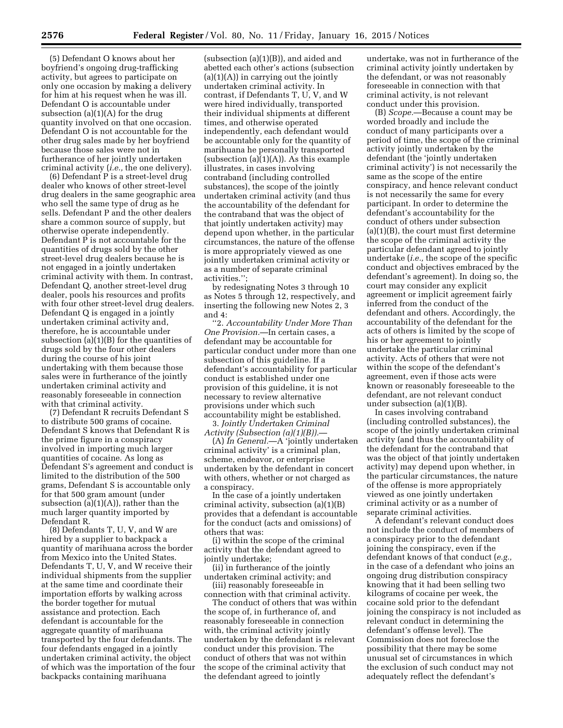(5) Defendant O knows about her boyfriend's ongoing drug-trafficking activity, but agrees to participate on only one occasion by making a delivery for him at his request when he was ill. Defendant O is accountable under subsection (a)(1)(A) for the drug quantity involved on that one occasion. Defendant O is not accountable for the other drug sales made by her boyfriend because those sales were not in furtherance of her jointly undertaken criminal activity (*i.e.,* the one delivery).

(6) Defendant P is a street-level drug dealer who knows of other street-level drug dealers in the same geographic area who sell the same type of drug as he sells. Defendant P and the other dealers share a common source of supply, but otherwise operate independently. Defendant P is not accountable for the quantities of drugs sold by the other street-level drug dealers because he is not engaged in a jointly undertaken criminal activity with them. In contrast, Defendant Q, another street-level drug dealer, pools his resources and profits with four other street-level drug dealers. Defendant Q is engaged in a jointly undertaken criminal activity and, therefore, he is accountable under subsection (a)(1)(B) for the quantities of drugs sold by the four other dealers during the course of his joint undertaking with them because those sales were in furtherance of the jointly undertaken criminal activity and reasonably foreseeable in connection with that criminal activity.

(7) Defendant R recruits Defendant S to distribute 500 grams of cocaine. Defendant S knows that Defendant R is the prime figure in a conspiracy involved in importing much larger quantities of cocaine. As long as Defendant S's agreement and conduct is limited to the distribution of the 500 grams, Defendant S is accountable only for that 500 gram amount (under subsection  $(a)(1)(A)$ , rather than the much larger quantity imported by Defendant R.

(8) Defendants T, U, V, and W are hired by a supplier to backpack a quantity of marihuana across the border from Mexico into the United States. Defendants T, U, V, and W receive their individual shipments from the supplier at the same time and coordinate their importation efforts by walking across the border together for mutual assistance and protection. Each defendant is accountable for the aggregate quantity of marihuana transported by the four defendants. The four defendants engaged in a jointly undertaken criminal activity, the object of which was the importation of the four backpacks containing marihuana

(subsection (a)(1)(B)), and aided and abetted each other's actions (subsection  $(a)(1)(A)$  in carrying out the jointly undertaken criminal activity. In contrast, if Defendants T, U, V, and W were hired individually, transported their individual shipments at different times, and otherwise operated independently, each defendant would be accountable only for the quantity of marihuana he personally transported (subsection  $(a)(1)(A)$ ). As this example illustrates, in cases involving contraband (including controlled substances), the scope of the jointly undertaken criminal activity (and thus the accountability of the defendant for the contraband that was the object of that jointly undertaken activity) may depend upon whether, in the particular circumstances, the nature of the offense is more appropriately viewed as one jointly undertaken criminal activity or as a number of separate criminal activities.'';

by redesignating Notes 3 through 10 as Notes 5 through 12, respectively, and inserting the following new Notes 2, 3 and 4:

''2. *Accountability Under More Than One Provision.*—In certain cases, a defendant may be accountable for particular conduct under more than one subsection of this guideline. If a defendant's accountability for particular conduct is established under one provision of this guideline, it is not necessary to review alternative provisions under which such accountability might be established.

3. *Jointly Undertaken Criminal Activity (Subsection (a)(1)(B)).*—

(A) *In General.*—A 'jointly undertaken criminal activity' is a criminal plan, scheme, endeavor, or enterprise undertaken by the defendant in concert with others, whether or not charged as a conspiracy.

In the case of a jointly undertaken criminal activity, subsection (a)(1)(B) provides that a defendant is accountable for the conduct (acts and omissions) of others that was:

(i) within the scope of the criminal activity that the defendant agreed to jointly undertake;

(ii) in furtherance of the jointly undertaken criminal activity; and (iii) reasonably foreseeable in

connection with that criminal activity. The conduct of others that was within the scope of, in furtherance of, and reasonably foreseeable in connection with, the criminal activity jointly undertaken by the defendant is relevant conduct under this provision. The conduct of others that was not within the scope of the criminal activity that the defendant agreed to jointly

undertake, was not in furtherance of the criminal activity jointly undertaken by the defendant, or was not reasonably foreseeable in connection with that criminal activity, is not relevant conduct under this provision.

(B) *Scope.*—Because a count may be worded broadly and include the conduct of many participants over a period of time, the scope of the criminal activity jointly undertaken by the defendant (the 'jointly undertaken criminal activity') is not necessarily the same as the scope of the entire conspiracy, and hence relevant conduct is not necessarily the same for every participant. In order to determine the defendant's accountability for the conduct of others under subsection  $(a)(1)(B)$ , the court must first determine the scope of the criminal activity the particular defendant agreed to jointly undertake (*i.e.,* the scope of the specific conduct and objectives embraced by the defendant's agreement). In doing so, the court may consider any explicit agreement or implicit agreement fairly inferred from the conduct of the defendant and others. Accordingly, the accountability of the defendant for the acts of others is limited by the scope of his or her agreement to jointly undertake the particular criminal activity. Acts of others that were not within the scope of the defendant's agreement, even if those acts were known or reasonably foreseeable to the defendant, are not relevant conduct under subsection (a)(1)(B).

In cases involving contraband (including controlled substances), the scope of the jointly undertaken criminal activity (and thus the accountability of the defendant for the contraband that was the object of that jointly undertaken activity) may depend upon whether, in the particular circumstances, the nature of the offense is more appropriately viewed as one jointly undertaken criminal activity or as a number of separate criminal activities.

A defendant's relevant conduct does not include the conduct of members of a conspiracy prior to the defendant joining the conspiracy, even if the defendant knows of that conduct (*e.g.,*  in the case of a defendant who joins an ongoing drug distribution conspiracy knowing that it had been selling two kilograms of cocaine per week, the cocaine sold prior to the defendant joining the conspiracy is not included as relevant conduct in determining the defendant's offense level). The Commission does not foreclose the possibility that there may be some unusual set of circumstances in which the exclusion of such conduct may not adequately reflect the defendant's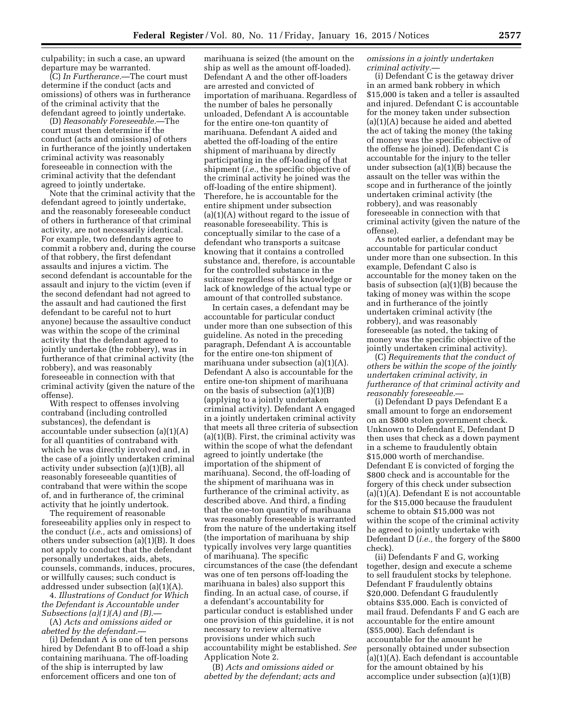culpability; in such a case, an upward departure may be warranted.

(C) *In Furtherance.*—The court must determine if the conduct (acts and omissions) of others was in furtherance of the criminal activity that the defendant agreed to jointly undertake.

(D) *Reasonably Foreseeable.*—The court must then determine if the conduct (acts and omissions) of others in furtherance of the jointly undertaken criminal activity was reasonably foreseeable in connection with the criminal activity that the defendant agreed to jointly undertake.

Note that the criminal activity that the defendant agreed to jointly undertake, and the reasonably foreseeable conduct of others in furtherance of that criminal activity, are not necessarily identical. For example, two defendants agree to commit a robbery and, during the course of that robbery, the first defendant assaults and injures a victim. The second defendant is accountable for the assault and injury to the victim (even if the second defendant had not agreed to the assault and had cautioned the first defendant to be careful not to hurt anyone) because the assaultive conduct was within the scope of the criminal activity that the defendant agreed to jointly undertake (the robbery), was in furtherance of that criminal activity (the robbery), and was reasonably foreseeable in connection with that criminal activity (given the nature of the offense).

With respect to offenses involving contraband (including controlled substances), the defendant is accountable under subsection (a)(1)(A) for all quantities of contraband with which he was directly involved and, in the case of a jointly undertaken criminal activity under subsection (a)(1)(B), all reasonably foreseeable quantities of contraband that were within the scope of, and in furtherance of, the criminal activity that he jointly undertook.

The requirement of reasonable foreseeability applies only in respect to the conduct (*i.e.,* acts and omissions) of others under subsection (a)(1)(B). It does not apply to conduct that the defendant personally undertakes, aids, abets, counsels, commands, induces, procures, or willfully causes; such conduct is addressed under subsection (a)(1)(A).

4. *Illustrations of Conduct for Which the Defendant is Accountable under Subsections (a)(1)(A) and (B).*—

(A) *Acts and omissions aided or abetted by the defendant.*—

(i) Defendant A is one of ten persons hired by Defendant B to off-load a ship containing marihuana. The off-loading of the ship is interrupted by law enforcement officers and one ton of

marihuana is seized (the amount on the ship as well as the amount off-loaded). Defendant A and the other off-loaders are arrested and convicted of importation of marihuana. Regardless of the number of bales he personally unloaded, Defendant A is accountable for the entire one-ton quantity of marihuana. Defendant A aided and abetted the off-loading of the entire shipment of marihuana by directly participating in the off-loading of that shipment (*i.e.,* the specific objective of the criminal activity he joined was the off-loading of the entire shipment). Therefore, he is accountable for the entire shipment under subsection (a)(1)(A) without regard to the issue of reasonable foreseeability. This is conceptually similar to the case of a defendant who transports a suitcase knowing that it contains a controlled substance and, therefore, is accountable for the controlled substance in the suitcase regardless of his knowledge or lack of knowledge of the actual type or amount of that controlled substance.

In certain cases, a defendant may be accountable for particular conduct under more than one subsection of this guideline. As noted in the preceding paragraph, Defendant A is accountable for the entire one-ton shipment of marihuana under subsection (a)(1)(A). Defendant A also is accountable for the entire one-ton shipment of marihuana on the basis of subsection (a)(1)(B) (applying to a jointly undertaken criminal activity). Defendant A engaged in a jointly undertaken criminal activity that meets all three criteria of subsection (a)(1)(B). First, the criminal activity was within the scope of what the defendant agreed to jointly undertake (the importation of the shipment of marihuana). Second, the off-loading of the shipment of marihuana was in furtherance of the criminal activity, as described above. And third, a finding that the one-ton quantity of marihuana was reasonably foreseeable is warranted from the nature of the undertaking itself (the importation of marihuana by ship typically involves very large quantities of marihuana). The specific circumstances of the case (the defendant was one of ten persons off-loading the marihuana in bales) also support this finding. In an actual case, of course, if a defendant's accountability for particular conduct is established under one provision of this guideline, it is not necessary to review alternative provisions under which such accountability might be established. *See*  Application Note 2.

(B) *Acts and omissions aided or abetted by the defendant; acts and*  *omissions in a jointly undertaken criminal activity.*—

(i) Defendant C is the getaway driver in an armed bank robbery in which \$15,000 is taken and a teller is assaulted and injured. Defendant C is accountable for the money taken under subsection (a)(1)(A) because he aided and abetted the act of taking the money (the taking of money was the specific objective of the offense he joined). Defendant C is accountable for the injury to the teller under subsection (a)(1)(B) because the assault on the teller was within the scope and in furtherance of the jointly undertaken criminal activity (the robbery), and was reasonably foreseeable in connection with that criminal activity (given the nature of the offense).

As noted earlier, a defendant may be accountable for particular conduct under more than one subsection. In this example, Defendant C also is accountable for the money taken on the basis of subsection (a)(1)(B) because the taking of money was within the scope and in furtherance of the jointly undertaken criminal activity (the robbery), and was reasonably foreseeable (as noted, the taking of money was the specific objective of the jointly undertaken criminal activity).

(C) *Requirements that the conduct of others be within the scope of the jointly undertaken criminal activity, in furtherance of that criminal activity and reasonably foreseeable.*—

(i) Defendant D pays Defendant E a small amount to forge an endorsement on an \$800 stolen government check. Unknown to Defendant E, Defendant D then uses that check as a down payment in a scheme to fraudulently obtain \$15,000 worth of merchandise. Defendant E is convicted of forging the \$800 check and is accountable for the forgery of this check under subsection (a)(1)(A). Defendant E is not accountable for the \$15,000 because the fraudulent scheme to obtain \$15,000 was not within the scope of the criminal activity he agreed to jointly undertake with Defendant D (*i.e.,* the forgery of the \$800 check).

(ii) Defendants F and G, working together, design and execute a scheme to sell fraudulent stocks by telephone. Defendant F fraudulently obtains \$20,000. Defendant G fraudulently obtains \$35,000. Each is convicted of mail fraud. Defendants F and G each are accountable for the entire amount (\$55,000). Each defendant is accountable for the amount he personally obtained under subsection (a)(1)(A). Each defendant is accountable for the amount obtained by his accomplice under subsection (a)(1)(B)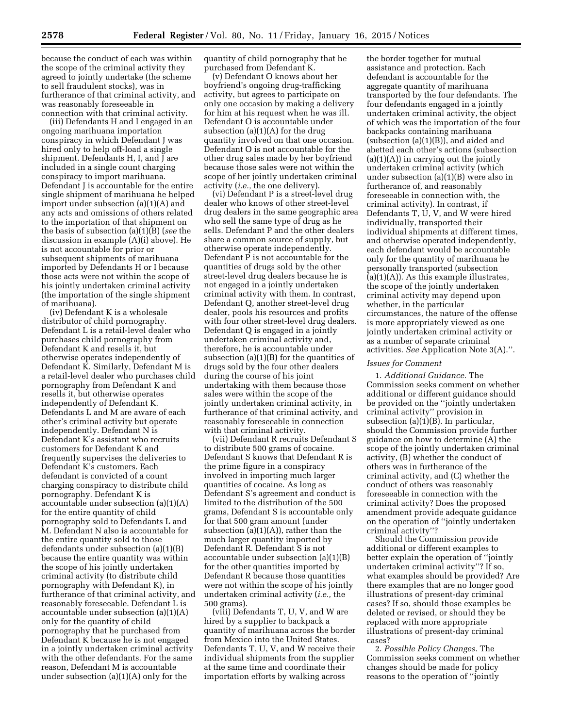because the conduct of each was within the scope of the criminal activity they agreed to jointly undertake (the scheme to sell fraudulent stocks), was in furtherance of that criminal activity, and was reasonably foreseeable in connection with that criminal activity.

(iii) Defendants H and I engaged in an ongoing marihuana importation conspiracy in which Defendant J was hired only to help off-load a single shipment. Defendants H, I, and J are included in a single count charging conspiracy to import marihuana. Defendant J is accountable for the entire single shipment of marihuana he helped import under subsection (a)(1)(A) and any acts and omissions of others related to the importation of that shipment on the basis of subsection (a)(1)(B) (*see* the discussion in example (A)(i) above). He is not accountable for prior or subsequent shipments of marihuana imported by Defendants H or I because those acts were not within the scope of his jointly undertaken criminal activity (the importation of the single shipment of marihuana).

(iv) Defendant K is a wholesale distributor of child pornography. Defendant L is a retail-level dealer who purchases child pornography from Defendant K and resells it, but otherwise operates independently of Defendant K. Similarly, Defendant M is a retail-level dealer who purchases child pornography from Defendant K and resells it, but otherwise operates independently of Defendant K. Defendants L and M are aware of each other's criminal activity but operate independently. Defendant N is Defendant K's assistant who recruits customers for Defendant K and frequently supervises the deliveries to Defendant K's customers. Each defendant is convicted of a count charging conspiracy to distribute child pornography. Defendant K is accountable under subsection (a)(1)(A) for the entire quantity of child pornography sold to Defendants L and M. Defendant N also is accountable for the entire quantity sold to those defendants under subsection (a)(1)(B) because the entire quantity was within the scope of his jointly undertaken criminal activity (to distribute child pornography with Defendant K), in furtherance of that criminal activity, and reasonably foreseeable. Defendant L is accountable under subsection (a)(1)(A) only for the quantity of child pornography that he purchased from Defendant K because he is not engaged in a jointly undertaken criminal activity with the other defendants. For the same reason, Defendant M is accountable under subsection (a)(1)(A) only for the

quantity of child pornography that he purchased from Defendant K.

(v) Defendant O knows about her boyfriend's ongoing drug-trafficking activity, but agrees to participate on only one occasion by making a delivery for him at his request when he was ill. Defendant O is accountable under subsection  $(a)(1)(A)$  for the drug quantity involved on that one occasion. Defendant O is not accountable for the other drug sales made by her boyfriend because those sales were not within the scope of her jointly undertaken criminal activity (*i.e.,* the one delivery).

(vi) Defendant P is a street-level drug dealer who knows of other street-level drug dealers in the same geographic area who sell the same type of drug as he sells. Defendant P and the other dealers share a common source of supply, but otherwise operate independently. Defendant P is not accountable for the quantities of drugs sold by the other street-level drug dealers because he is not engaged in a jointly undertaken criminal activity with them. In contrast, Defendant Q, another street-level drug dealer, pools his resources and profits with four other street-level drug dealers. Defendant Q is engaged in a jointly undertaken criminal activity and, therefore, he is accountable under subsection (a)(1)(B) for the quantities of drugs sold by the four other dealers during the course of his joint undertaking with them because those sales were within the scope of the jointly undertaken criminal activity, in furtherance of that criminal activity, and reasonably foreseeable in connection with that criminal activity.

(vii) Defendant R recruits Defendant S to distribute 500 grams of cocaine. Defendant S knows that Defendant R is the prime figure in a conspiracy involved in importing much larger quantities of cocaine. As long as Defendant S's agreement and conduct is limited to the distribution of the 500 grams, Defendant S is accountable only for that 500 gram amount (under subsection (a)(1)(A)), rather than the much larger quantity imported by Defendant R. Defendant S is not accountable under subsection (a)(1)(B) for the other quantities imported by Defendant R because those quantities were not within the scope of his jointly undertaken criminal activity (*i.e.,* the 500 grams).

(viii) Defendants T, U, V, and W are hired by a supplier to backpack a quantity of marihuana across the border from Mexico into the United States. Defendants T, U, V, and W receive their individual shipments from the supplier at the same time and coordinate their importation efforts by walking across

the border together for mutual assistance and protection. Each defendant is accountable for the aggregate quantity of marihuana transported by the four defendants. The four defendants engaged in a jointly undertaken criminal activity, the object of which was the importation of the four backpacks containing marihuana (subsection (a)(1)(B)), and aided and abetted each other's actions (subsection  $(a)(1)(A)$  in carrying out the jointly undertaken criminal activity (which under subsection (a)(1)(B) were also in furtherance of, and reasonably foreseeable in connection with, the criminal activity). In contrast, if Defendants T, U, V, and W were hired individually, transported their individual shipments at different times, and otherwise operated independently, each defendant would be accountable only for the quantity of marihuana he personally transported (subsection  $(a)(1)(A)$ . As this example illustrates, the scope of the jointly undertaken criminal activity may depend upon whether, in the particular circumstances, the nature of the offense is more appropriately viewed as one jointly undertaken criminal activity or as a number of separate criminal activities. *See* Application Note 3(A).''.

#### *Issues for Comment*

1. *Additional Guidance.* The Commission seeks comment on whether additional or different guidance should be provided on the ''jointly undertaken criminal activity'' provision in subsection (a)(1)(B). In particular, should the Commission provide further guidance on how to determine (A) the scope of the jointly undertaken criminal activity, (B) whether the conduct of others was in furtherance of the criminal activity, and (C) whether the conduct of others was reasonably foreseeable in connection with the criminal activity? Does the proposed amendment provide adequate guidance on the operation of ''jointly undertaken criminal activity''?

Should the Commission provide additional or different examples to better explain the operation of ''jointly undertaken criminal activity''? If so, what examples should be provided? Are there examples that are no longer good illustrations of present-day criminal cases? If so, should those examples be deleted or revised, or should they be replaced with more appropriate illustrations of present-day criminal cases?

2. *Possible Policy Changes.* The Commission seeks comment on whether changes should be made for policy reasons to the operation of ''jointly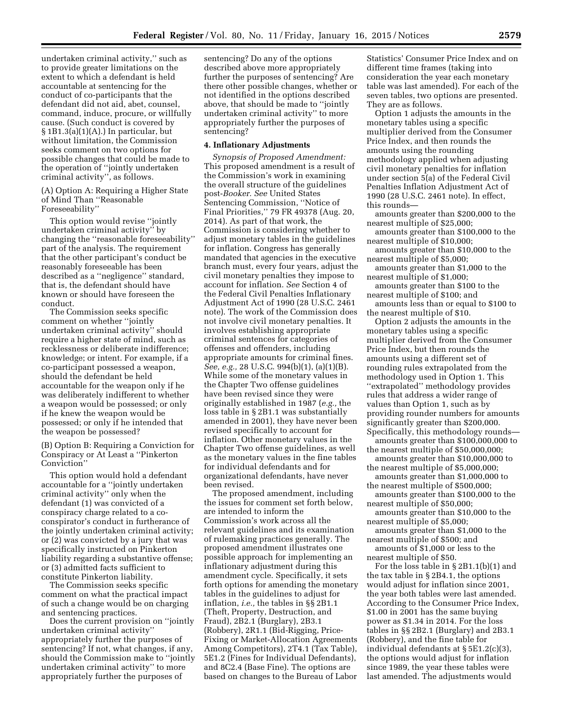undertaken criminal activity,'' such as to provide greater limitations on the extent to which a defendant is held accountable at sentencing for the conduct of co-participants that the defendant did not aid, abet, counsel, command, induce, procure, or willfully cause. (Such conduct is covered by § 1B1.3(a)(1)(A).) In particular, but without limitation, the Commission seeks comment on two options for possible changes that could be made to the operation of ''jointly undertaken criminal activity'', as follows.

(A) Option A: Requiring a Higher State of Mind Than ''Reasonable Foreseeability''

This option would revise ''jointly undertaken criminal activity'' by changing the ''reasonable foreseeability'' part of the analysis. The requirement that the other participant's conduct be reasonably foreseeable has been described as a ''negligence'' standard, that is, the defendant should have known or should have foreseen the conduct.

The Commission seeks specific comment on whether ''jointly undertaken criminal activity'' should require a higher state of mind, such as recklessness or deliberate indifference; knowledge; or intent. For example, if a co-participant possessed a weapon, should the defendant be held accountable for the weapon only if he was deliberately indifferent to whether a weapon would be possessed; or only if he knew the weapon would be possessed; or only if he intended that the weapon be possessed?

(B) Option B: Requiring a Conviction for Conspiracy or At Least a ''Pinkerton Conviction''

This option would hold a defendant accountable for a ''jointly undertaken criminal activity'' only when the defendant (1) was convicted of a conspiracy charge related to a coconspirator's conduct in furtherance of the jointly undertaken criminal activity; or (2) was convicted by a jury that was specifically instructed on Pinkerton liability regarding a substantive offense; or (3) admitted facts sufficient to constitute Pinkerton liability.

The Commission seeks specific comment on what the practical impact of such a change would be on charging and sentencing practices.

Does the current provision on ''jointly undertaken criminal activity'' appropriately further the purposes of sentencing? If not, what changes, if any, should the Commission make to ''jointly undertaken criminal activity'' to more appropriately further the purposes of

sentencing? Do any of the options described above more appropriately further the purposes of sentencing? Are there other possible changes, whether or not identified in the options described above, that should be made to ''jointly undertaken criminal activity'' to more appropriately further the purposes of sentencing?

# **4. Inflationary Adjustments**

*Synopsis of Proposed Amendment:*  This proposed amendment is a result of the Commission's work in examining the overall structure of the guidelines post-*Booker. See* United States Sentencing Commission, ''Notice of Final Priorities,'' 79 FR 49378 (Aug. 20, 2014). As part of that work, the Commission is considering whether to adjust monetary tables in the guidelines for inflation. Congress has generally mandated that agencies in the executive branch must, every four years, adjust the civil monetary penalties they impose to account for inflation. *See* Section 4 of the Federal Civil Penalties Inflationary Adjustment Act of 1990 (28 U.S.C. 2461 note). The work of the Commission does not involve civil monetary penalties. It involves establishing appropriate criminal sentences for categories of offenses and offenders, including appropriate amounts for criminal fines. *See, e.g.,* 28 U.S.C. 994(b)(1), (a)(1)(B). While some of the monetary values in the Chapter Two offense guidelines have been revised since they were originally established in 1987 (*e.g.,* the loss table in § 2B1.1 was substantially amended in 2001), they have never been revised specifically to account for inflation. Other monetary values in the Chapter Two offense guidelines, as well as the monetary values in the fine tables for individual defendants and for organizational defendants, have never been revised.

The proposed amendment, including the issues for comment set forth below, are intended to inform the Commission's work across all the relevant guidelines and its examination of rulemaking practices generally. The proposed amendment illustrates one possible approach for implementing an inflationary adjustment during this amendment cycle. Specifically, it sets forth options for amending the monetary tables in the guidelines to adjust for inflation, *i.e.,* the tables in §§ 2B1.1 (Theft, Property, Destruction, and Fraud), 2B2.1 (Burglary), 2B3.1 (Robbery), 2R1.1 (Bid-Rigging, Price-Fixing or Market-Allocation Agreements Among Competitors), 2T4.1 (Tax Table), 5E1.2 (Fines for Individual Defendants), and 8C2.4 (Base Fine). The options are based on changes to the Bureau of Labor

Statistics' Consumer Price Index and on different time frames (taking into consideration the year each monetary table was last amended). For each of the seven tables, two options are presented. They are as follows.

Option 1 adjusts the amounts in the monetary tables using a specific multiplier derived from the Consumer Price Index, and then rounds the amounts using the rounding methodology applied when adjusting civil monetary penalties for inflation under section 5(a) of the Federal Civil Penalties Inflation Adjustment Act of 1990 (28 U.S.C. 2461 note). In effect, this rounds—

amounts greater than \$200,000 to the nearest multiple of \$25,000;

amounts greater than \$100,000 to the nearest multiple of \$10,000;

amounts greater than \$10,000 to the nearest multiple of \$5,000;

amounts greater than \$1,000 to the nearest multiple of \$1,000;

amounts greater than \$100 to the nearest multiple of \$100; and

amounts less than or equal to \$100 to the nearest multiple of \$10.

Option 2 adjusts the amounts in the monetary tables using a specific multiplier derived from the Consumer Price Index, but then rounds the amounts using a different set of rounding rules extrapolated from the methodology used in Option 1. This ''extrapolated'' methodology provides rules that address a wider range of values than Option 1, such as by providing rounder numbers for amounts significantly greater than \$200,000. Specifically, this methodology rounds—

amounts greater than \$100,000,000 to the nearest multiple of \$50,000,000;

amounts greater than \$10,000,000 to the nearest multiple of \$5,000,000;

amounts greater than \$1,000,000 to the nearest multiple of \$500,000;

amounts greater than \$100,000 to the nearest multiple of \$50,000;

amounts greater than \$10,000 to the nearest multiple of \$5,000;

amounts greater than \$1,000 to the nearest multiple of \$500; and amounts of \$1,000 or less to the

nearest multiple of \$50.

For the loss table in § 2B1.1(b)(1) and the tax table in § 2B4.1, the options would adjust for inflation since 2001, the year both tables were last amended. According to the Consumer Price Index, \$1.00 in 2001 has the same buying power as \$1.34 in 2014. For the loss tables in §§ 2B2.1 (Burglary) and 2B3.1 (Robbery), and the fine table for individual defendants at § 5E1.2(c)(3), the options would adjust for inflation since 1989, the year these tables were last amended. The adjustments would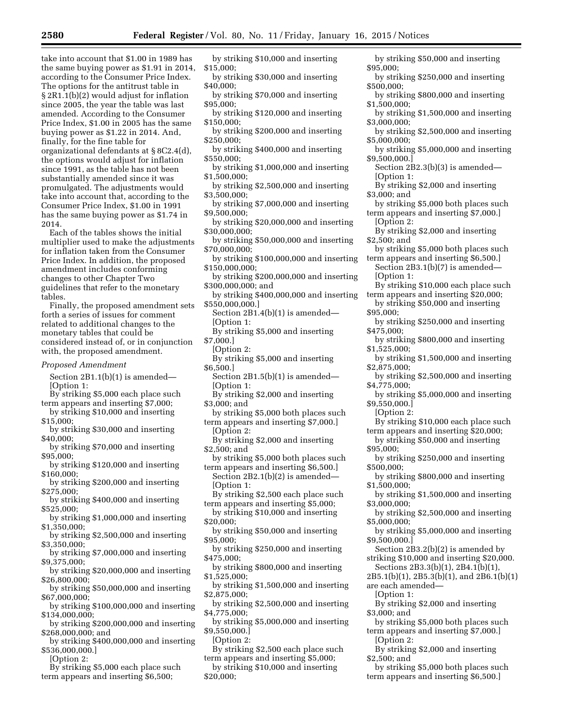take into account that \$1.00 in 1989 has the same buying power as \$1.91 in 2014, according to the Consumer Price Index. The options for the antitrust table in § 2R1.1(b)(2) would adjust for inflation since 2005, the year the table was last amended. According to the Consumer Price Index, \$1.00 in 2005 has the same buying power as \$1.22 in 2014. And, finally, for the fine table for organizational defendants at § 8C2.4(d), the options would adjust for inflation since 1991, as the table has not been substantially amended since it was promulgated. The adjustments would take into account that, according to the Consumer Price Index, \$1.00 in 1991 has the same buying power as \$1.74 in 2014.

Each of the tables shows the initial multiplier used to make the adjustments for inflation taken from the Consumer Price Index. In addition, the proposed amendment includes conforming changes to other Chapter Two guidelines that refer to the monetary tables.

Finally, the proposed amendment sets forth a series of issues for comment related to additional changes to the monetary tables that could be considered instead of, or in conjunction with, the proposed amendment.

- *Proposed Amendment* 
	- Section 2B1.1(b)(1) is amended— [Option 1:
- By striking \$5,000 each place such term appears and inserting \$7,000;
- by striking \$10,000 and inserting \$15,000;
- by striking \$30,000 and inserting \$40,000;
- by striking \$70,000 and inserting \$95,000;
- by striking \$120,000 and inserting \$160,000;
- by striking \$200,000 and inserting \$275,000;
- by striking \$400,000 and inserting \$525,000;
- by striking \$1,000,000 and inserting \$1,350,000;
- by striking \$2,500,000 and inserting \$3,350,000;
- by striking \$7,000,000 and inserting \$9,375,000;
- by striking \$20,000,000 and inserting \$26,800,000;
- by striking \$50,000,000 and inserting \$67,000,000;
- by striking \$100,000,000 and inserting \$134,000,000;
- by striking \$200,000,000 and inserting \$268,000,000; and
- by striking \$400,000,000 and inserting \$536,000,000.]
- [Option 2:
- By striking \$5,000 each place such term appears and inserting \$6,500;
- by striking \$10,000 and inserting \$15,000;
- by striking \$30,000 and inserting \$40,000;
- by striking \$70,000 and inserting \$95,000;
- by striking \$120,000 and inserting \$150,000;
- by striking \$200,000 and inserting \$250,000;
- by striking \$400,000 and inserting \$550,000;
- by striking \$1,000,000 and inserting \$1,500,000;
- by striking \$2,500,000 and inserting \$3,500,000;
- by striking \$7,000,000 and inserting \$9,500,000;
- by striking \$20,000,000 and inserting \$30,000,000;
- by striking \$50,000,000 and inserting \$70,000,000;
- by striking \$100,000,000 and inserting \$150,000,000;
- by striking \$200,000,000 and inserting \$300,000,000; and
- by striking \$400,000,000 and inserting \$550,000,000.]
- Section 2B1.4(b)(1) is amended— [Option 1:
- By striking \$5,000 and inserting
- \$7,000.]
- [Option 2: By striking \$5,000 and inserting \$6,500.]
- Section 2B1.5(b)(1) is amended— [Option 1:
- By striking \$2,000 and inserting \$3,000; and
- by striking \$5,000 both places such term appears and inserting \$7,000.] [Option 2:
- By striking \$2,000 and inserting \$2,500; and
- by striking \$5,000 both places such term appears and inserting \$6,500.]
- Section 2B2.1(b)(2) is amended— [Option 1:
- By striking \$2,500 each place such term appears and inserting \$5,000;
- by striking \$10,000 and inserting \$20,000;
- by striking \$50,000 and inserting \$95,000;
- by striking \$250,000 and inserting \$475,000;
- by striking \$800,000 and inserting \$1,525,000;
- by striking \$1,500,000 and inserting \$2,875,000;
- by striking \$2,500,000 and inserting \$4,775,000;
- by striking \$5,000,000 and inserting \$9,550,000.]
	- [Option 2:
- By striking \$2,500 each place such term appears and inserting \$5,000;
- by striking \$10,000 and inserting \$20,000;
- by striking \$50,000 and inserting \$95,000;
- by striking \$250,000 and inserting \$500,000;
- by striking \$800,000 and inserting \$1,500,000;
- by striking \$1,500,000 and inserting \$3,000,000;
- by striking \$2,500,000 and inserting \$5,000,000;
- by striking \$5,000,000 and inserting \$9,500,000.]
	- Section 2B2.3(b)(3) is amended— [Option 1:
- By striking \$2,000 and inserting \$3,000; and
- by striking \$5,000 both places such term appears and inserting \$7,000.]
- [Option 2:
- By striking \$2,000 and inserting \$2,500; and
- by striking \$5,000 both places such term appears and inserting \$6,500.]
- Section 2B3.1(b)(7) is amended— [Option 1:
- By striking \$10,000 each place such term appears and inserting \$20,000;
- by striking \$50,000 and inserting \$95,000;
- by striking \$250,000 and inserting \$475,000;
- by striking \$800,000 and inserting \$1,525,000;
- by striking \$1,500,000 and inserting \$2,875,000;
- by striking \$2,500,000 and inserting \$4,775,000;
- by striking \$5,000,000 and inserting \$9,550,000.]
	- [Option 2:
- By striking \$10,000 each place such term appears and inserting \$20,000;
- by striking \$50,000 and inserting \$95,000;
- by striking \$250,000 and inserting \$500,000;
- by striking \$800,000 and inserting \$1,500,000;
- by striking \$1,500,000 and inserting \$3,000,000;
- by striking \$2,500,000 and inserting \$5,000,000;
- by striking \$5,000,000 and inserting \$9,500,000.]
- Section 2B3.2(b)(2) is amended by striking \$10,000 and inserting \$20,000.
- Sections 2B3.3(b)(1), 2B4.1(b)(1), 2B5.1(b)(1), 2B5.3(b)(1), and 2B6.1(b)(1)
- are each amended—
	- [Option 1:
- By striking \$2,000 and inserting \$3,000; and
- by striking \$5,000 both places such term appears and inserting \$7,000.] [Option 2:
- By striking \$2,000 and inserting \$2,500; and
- by striking \$5,000 both places such term appears and inserting \$6,500.]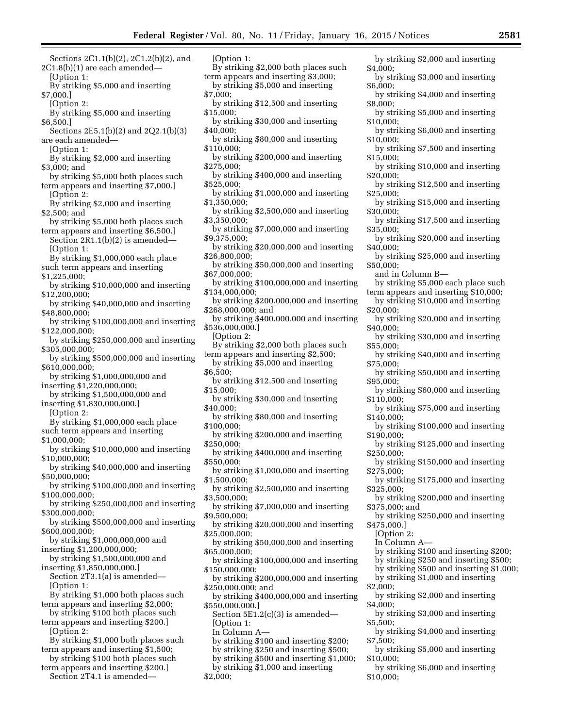- Sections 2C1.1(b)(2), 2C1.2(b)(2), and 2C1.8(b)(1) are each amended— [Option 1:
- By striking \$5,000 and inserting \$7,000.]
- [Option 2:
- By striking \$5,000 and inserting \$6,500.]
- Sections 2E5.1(b)(2) and 2Q2.1(b)(3) are each amended—
- [Option 1:
- By striking \$2,000 and inserting \$3,000; and
- by striking \$5,000 both places such term appears and inserting \$7,000.]
- [Option 2:
- By striking \$2,000 and inserting \$2,500; and
- by striking \$5,000 both places such term appears and inserting \$6,500.] Section 2R1.1(b)(2) is amended—
	- [Option 1:
- By striking \$1,000,000 each place such term appears and inserting
- \$1,225,000;
- by striking \$10,000,000 and inserting \$12,200,000;
- by striking \$40,000,000 and inserting \$48,800,000;
- by striking \$100,000,000 and inserting \$122,000,000;
- by striking \$250,000,000 and inserting \$305,000,000;
- by striking \$500,000,000 and inserting \$610,000,000;
- by striking \$1,000,000,000 and inserting \$1,220,000,000;
- by striking \$1,500,000,000 and inserting \$1,830,000,000.]
	- [Option 2:
- By striking \$1,000,000 each place
- such term appears and inserting \$1,000,000;
- by striking \$10,000,000 and inserting
- \$10,000,000; by striking \$40,000,000 and inserting \$50,000,000;
- by striking \$100,000,000 and inserting \$100,000,000;
- by striking \$250,000,000 and inserting \$300,000,000;
- by striking \$500,000,000 and inserting \$600,000,000;
- by striking \$1,000,000,000 and inserting \$1,200,000,000;
- by striking \$1,500,000,000 and inserting \$1,850,000,000.]
- Section 2T3.1(a) is amended— [Option 1:
- By striking \$1,000 both places such term appears and inserting \$2,000;
- by striking \$100 both places such term appears and inserting \$200.]
- [Option 2:
- By striking \$1,000 both places such term appears and inserting \$1,500;
- by striking \$100 both places such
- term appears and inserting \$200.] Section 2T4.1 is amended—
- [Option 1:
- By striking \$2,000 both places such term appears and inserting \$3,000;
- by striking \$5,000 and inserting \$7,000;
- by striking \$12,500 and inserting \$15,000;
- by striking \$30,000 and inserting \$40,000;
- by striking \$80,000 and inserting \$110,000;
- by striking \$200,000 and inserting \$275,000;
- by striking \$400,000 and inserting \$525,000;
- by striking \$1,000,000 and inserting \$1,350,000;
- by striking \$2,500,000 and inserting \$3,350,000;
- by striking \$7,000,000 and inserting \$9,375,000;
- by striking \$20,000,000 and inserting \$26,800,000;
- by striking \$50,000,000 and inserting \$67,000,000;
- by striking \$100,000,000 and inserting \$134,000,000;
- by striking \$200,000,000 and inserting \$268,000,000; and
- by striking \$400,000,000 and inserting \$536,000,000.]
	- [Option 2:
- By striking \$2,000 both places such term appears and inserting \$2,500;
- by striking \$5,000 and inserting \$6,500;
- by striking \$12,500 and inserting \$15,000;
- by striking \$30,000 and inserting \$40,000;
- by striking \$80,000 and inserting \$100,000;
- by striking \$200,000 and inserting \$250,000;
- by striking \$400,000 and inserting \$550,000;
- by striking \$1,000,000 and inserting \$1,500,000;
- by striking \$2,500,000 and inserting \$3,500,000;
- by striking \$7,000,000 and inserting \$9,500,000;
- by striking \$20,000,000 and inserting \$25,000,000;
- by striking \$50,000,000 and inserting \$65,000,000;
- by striking \$100,000,000 and inserting \$150,000,000;
- by striking \$200,000,000 and inserting \$250,000,000; and
- by striking \$400,000,000 and inserting \$550,000,000.]
- Section 5E1.2(c)(3) is amended—
- [Option 1:
- In Column A—
- by striking \$100 and inserting \$200;
- by striking \$250 and inserting \$500;
- by striking \$500 and inserting \$1,000;
- by striking \$1,000 and inserting \$2,000;
- by striking \$2,000 and inserting \$4,000;
- by striking \$3,000 and inserting \$6,000;
- by striking \$4,000 and inserting \$8,000;
- by striking \$5,000 and inserting \$10,000;
- by striking \$6,000 and inserting \$10,000;
- by striking \$7,500 and inserting \$15,000;
- by striking \$10,000 and inserting \$20,000;
- by striking \$12,500 and inserting \$25,000;
- by striking \$15,000 and inserting \$30,000;
- by striking \$17,500 and inserting \$35,000;
- by striking \$20,000 and inserting \$40,000;
- by striking \$25,000 and inserting \$50,000;
- and in Column B—
- by striking \$5,000 each place such term appears and inserting \$10,000;
- by striking \$10,000 and inserting \$20,000;
- by striking \$20,000 and inserting \$40,000;
- by striking \$30,000 and inserting \$55,000;
- by striking \$40,000 and inserting \$75,000;
- by striking \$50,000 and inserting \$95,000;
- by striking \$60,000 and inserting \$110,000;
- by striking \$75,000 and inserting \$140,000;
- by striking \$100,000 and inserting \$190,000; by striking \$125,000 and inserting

by striking \$150,000 and inserting

by striking \$175,000 and inserting

by striking \$200,000 and inserting

by striking \$250,000 and inserting

by striking \$100 and inserting \$200; by striking \$250 and inserting \$500; by striking \$500 and inserting \$1,000; by striking \$1,000 and inserting

by striking \$2,000 and inserting

by striking \$3,000 and inserting

by striking \$4,000 and inserting

by striking \$5,000 and inserting

by striking \$6,000 and inserting

\$250,000;

\$275,000;

\$325,000;

\$375,000; and

\$475,000.] [Option 2: In Column A—

\$2,000;

\$4,000;

\$5,500;

\$7,500;

\$10,000;

\$10,000;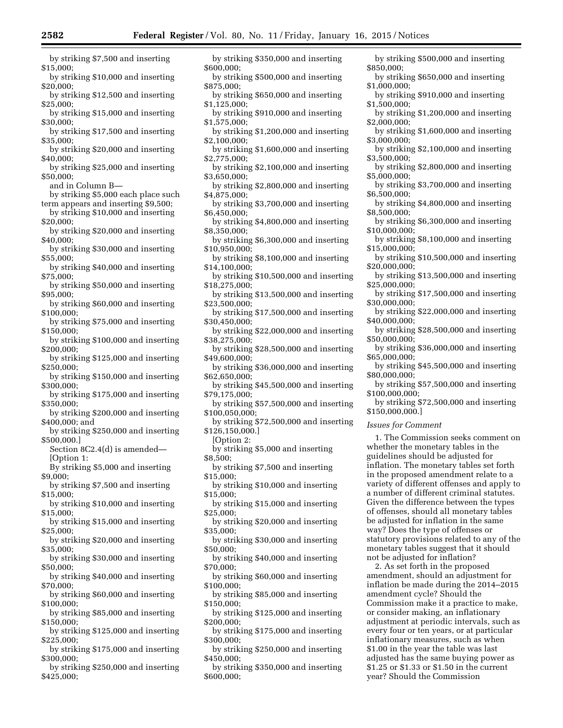- by striking \$7,500 and inserting \$15,000;
- by striking \$10,000 and inserting \$20,000;
- by striking \$12,500 and inserting \$25,000;
- by striking \$15,000 and inserting \$30,000;
- by striking \$17,500 and inserting \$35,000;
- by striking \$20,000 and inserting \$40,000;
- by striking \$25,000 and inserting \$50,000;

and in Column B—

- by striking \$5,000 each place such term appears and inserting \$9,500;
- by striking \$10,000 and inserting \$20,000;
- by striking \$20,000 and inserting \$40,000;
- by striking \$30,000 and inserting \$55,000;
- by striking \$40,000 and inserting \$75,000;
- by striking \$50,000 and inserting \$95,000;
- by striking \$60,000 and inserting \$100,000;
- by striking \$75,000 and inserting \$150,000;
- by striking \$100,000 and inserting \$200,000;
- by striking \$125,000 and inserting \$250,000;
- by striking \$150,000 and inserting \$300,000;
- by striking \$175,000 and inserting \$350,000;
- by striking \$200,000 and inserting \$400,000; and
- by striking \$250,000 and inserting \$500,000.]
- Section 8C2.4(d) is amended— [Option 1:
- By striking \$5,000 and inserting \$9,000;
- by striking \$7,500 and inserting \$15,000;
- by striking \$10,000 and inserting \$15,000;
- by striking \$15,000 and inserting \$25,000;
- by striking \$20,000 and inserting \$35,000;
- by striking \$30,000 and inserting \$50,000;
- by striking \$40,000 and inserting  $$70,000$
- by striking \$60,000 and inserting \$100,000;
- by striking \$85,000 and inserting \$150,000;
- by striking \$125,000 and inserting \$225,000;
- by striking \$175,000 and inserting \$300,000;
- by striking \$250,000 and inserting \$425,000;
- by striking \$350,000 and inserting \$600,000;
- by striking \$500,000 and inserting \$875,000;
- by striking \$650,000 and inserting \$1,125,000;
- by striking \$910,000 and inserting \$1,575,000;
- by striking \$1,200,000 and inserting \$2,100,000;
- by striking \$1,600,000 and inserting \$2,775,000;
- by striking \$2,100,000 and inserting \$3,650,000;
- by striking \$2,800,000 and inserting \$4,875,000;
- by striking \$3,700,000 and inserting \$6,450,000;
- by striking \$4,800,000 and inserting \$8,350,000;
- by striking \$6,300,000 and inserting \$10,950,000;
- by striking \$8,100,000 and inserting \$14,100,000;
- by striking \$10,500,000 and inserting \$18,275,000;
- by striking \$13,500,000 and inserting \$23,500,000;
- by striking \$17,500,000 and inserting \$30,450,000;
- by striking \$22,000,000 and inserting \$38,275,000;
- by striking \$28,500,000 and inserting \$49,600,000;
- by striking \$36,000,000 and inserting \$62,650,000;
- by striking \$45,500,000 and inserting \$79,175,000;
- by striking \$57,500,000 and inserting \$100,050,000;
- by striking \$72,500,000 and inserting \$126,150,000.]
- [Option 2:
- by striking \$5,000 and inserting \$8,500;
- by striking \$7,500 and inserting \$15,000;
- by striking \$10,000 and inserting \$15,000;
- by striking \$15,000 and inserting \$25,000;
- by striking \$20,000 and inserting \$35,000;
- by striking \$30,000 and inserting \$50,000;
- by striking \$40,000 and inserting \$70,000;
- by striking \$60,000 and inserting \$100,000;
- by striking \$85,000 and inserting \$150,000;
- by striking \$125,000 and inserting \$200,000;
- by striking \$175,000 and inserting \$300,000;
- by striking \$250,000 and inserting \$450,000;
- by striking \$350,000 and inserting \$600,000;
- by striking \$500,000 and inserting \$850,000;
- by striking \$650,000 and inserting \$1,000,000;
- by striking \$910,000 and inserting \$1,500,000;
- by striking \$1,200,000 and inserting \$2,000,000;
- by striking \$1,600,000 and inserting \$3,000,000;
- by striking \$2,100,000 and inserting \$3,500,000;
- by striking \$2,800,000 and inserting \$5,000,000;
- by striking \$3,700,000 and inserting \$6,500,000;
- by striking \$4,800,000 and inserting \$8,500,000;
- by striking \$6,300,000 and inserting \$10,000,000;
- by striking \$8,100,000 and inserting \$15,000,000;
- by striking \$10,500,000 and inserting \$20,000,000;
- by striking \$13,500,000 and inserting \$25,000,000;
- by striking \$17,500,000 and inserting \$30,000,000;
- by striking \$22,000,000 and inserting \$40,000,000;
- by striking \$28,500,000 and inserting \$50,000,000;
- by striking \$36,000,000 and inserting \$65,000,000;
- by striking \$45,500,000 and inserting \$80,000,000;
- by striking \$57,500,000 and inserting \$100,000,000;
- by striking \$72,500,000 and inserting \$150,000,000.]
- *Issues for Comment*

1. The Commission seeks comment on whether the monetary tables in the guidelines should be adjusted for inflation. The monetary tables set forth in the proposed amendment relate to a variety of different offenses and apply to a number of different criminal statutes. Given the difference between the types of offenses, should all monetary tables be adjusted for inflation in the same way? Does the type of offenses or statutory provisions related to any of the monetary tables suggest that it should not be adjusted for inflation?

2. As set forth in the proposed amendment, should an adjustment for inflation be made during the 2014–2015 amendment cycle? Should the Commission make it a practice to make, or consider making, an inflationary adjustment at periodic intervals, such as every four or ten years, or at particular inflationary measures, such as when \$1.00 in the year the table was last adjusted has the same buying power as \$1.25 or \$1.33 or \$1.50 in the current year? Should the Commission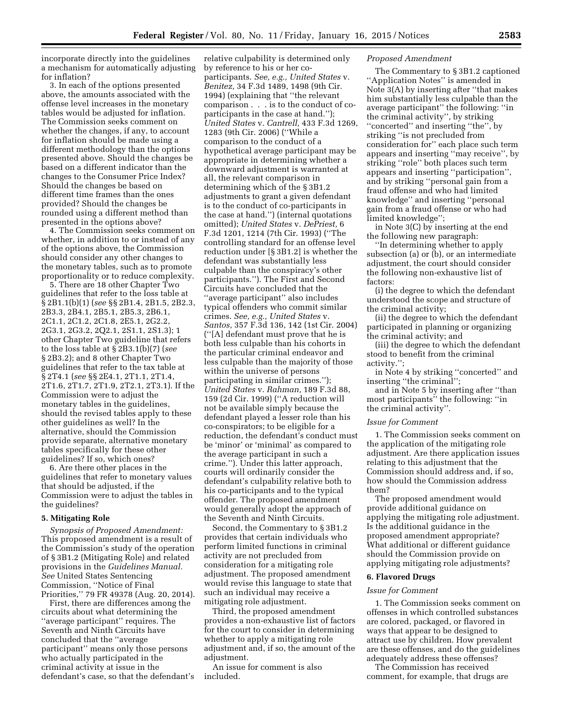incorporate directly into the guidelines a mechanism for automatically adjusting for inflation?

3. In each of the options presented above, the amounts associated with the offense level increases in the monetary tables would be adjusted for inflation. The Commission seeks comment on whether the changes, if any, to account for inflation should be made using a different methodology than the options presented above. Should the changes be based on a different indicator than the changes to the Consumer Price Index? Should the changes be based on different time frames than the ones provided? Should the changes be rounded using a different method than presented in the options above?

4. The Commission seeks comment on whether, in addition to or instead of any of the options above, the Commission should consider any other changes to the monetary tables, such as to promote proportionality or to reduce complexity.

5. There are 18 other Chapter Two guidelines that refer to the loss table at § 2B1.1(b)(1) (*see* §§ 2B1.4, 2B1.5, 2B2.3, 2B3.3, 2B4.1, 2B5.1, 2B5.3, 2B6.1, 2C1.1, 2C1.2, 2C1.8, 2E5.1, 2G2.2, 2G3.1, 2G3.2, 2Q2.1, 2S1.1, 2S1.3); 1 other Chapter Two guideline that refers to the loss table at § 2B3.1(b)(7) (*see*  § 2B3.2); and 8 other Chapter Two guidelines that refer to the tax table at § 2T4.1 (*see* §§ 2E4.1, 2T1.1, 2T1.4, 2T1.6, 2T1.7, 2T1.9, 2T2.1, 2T3.1). If the Commission were to adjust the monetary tables in the guidelines, should the revised tables apply to these other guidelines as well? In the alternative, should the Commission provide separate, alternative monetary tables specifically for these other guidelines? If so, which ones?

6. Are there other places in the guidelines that refer to monetary values that should be adjusted, if the Commission were to adjust the tables in the guidelines?

#### **5. Mitigating Role**

*Synopsis of Proposed Amendment:*  This proposed amendment is a result of the Commission's study of the operation of § 3B1.2 (Mitigating Role) and related provisions in the *Guidelines Manual. See* United States Sentencing Commission, ''Notice of Final Priorities,'' 79 FR 49378 (Aug. 20, 2014).

First, there are differences among the circuits about what determining the ''average participant'' requires. The Seventh and Ninth Circuits have concluded that the ''average participant'' means only those persons who actually participated in the criminal activity at issue in the defendant's case, so that the defendant's

relative culpability is determined only by reference to his or her coparticipants. *See, e.g., United States* v. *Benitez,* 34 F.3d 1489, 1498 (9th Cir. 1994) (explaining that ''the relevant comparison . . . is to the conduct of coparticipants in the case at hand.''); *United States* v. *Cantrell,* 433 F.3d 1269, 1283 (9th Cir. 2006) (''While a comparison to the conduct of a hypothetical average participant may be appropriate in determining whether a downward adjustment is warranted at all, the relevant comparison in determining which of the § 3B1.2 adjustments to grant a given defendant is to the conduct of co-participants in the case at hand.'') (internal quotations omitted); *United States* v. *DePriest,* 6 F.3d 1201, 1214 (7th Cir. 1993) (''The controlling standard for an offense level reduction under [§ 3B1.2] is whether the defendant was substantially less culpable than the conspiracy's other participants.''). The First and Second Circuits have concluded that the ''average participant'' also includes typical offenders who commit similar crimes. *See, e.g., United States* v. *Santos,* 357 F.3d 136, 142 (1st Cir. 2004) (''[A] defendant must prove that he is both less culpable than his cohorts in the particular criminal endeavor and less culpable than the majority of those within the universe of persons participating in similar crimes.''); *United States* v. *Rahman,* 189 F.3d 88, 159 (2d Cir. 1999) (''A reduction will not be available simply because the defendant played a lesser role than his co-conspirators; to be eligible for a reduction, the defendant's conduct must be 'minor' or 'minimal' as compared to the average participant in such a crime.''). Under this latter approach, courts will ordinarily consider the defendant's culpability relative both to his co-participants and to the typical offender. The proposed amendment would generally adopt the approach of the Seventh and Ninth Circuits.

Second, the Commentary to § 3B1.2 provides that certain individuals who perform limited functions in criminal activity are not precluded from consideration for a mitigating role adjustment. The proposed amendment would revise this language to state that such an individual may receive a mitigating role adjustment.

Third, the proposed amendment provides a non-exhaustive list of factors for the court to consider in determining whether to apply a mitigating role adjustment and, if so, the amount of the adjustment.

An issue for comment is also included.

# *Proposed Amendment*

The Commentary to § 3B1.2 captioned ''Application Notes'' is amended in Note 3(A) by inserting after ''that makes him substantially less culpable than the average participant'' the following: ''in the criminal activity'', by striking ''concerted'' and inserting ''the'', by striking ''is not precluded from consideration for'' each place such term appears and inserting ''may receive'', by striking ''role'' both places such term appears and inserting ''participation'', and by striking ''personal gain from a fraud offense and who had limited knowledge'' and inserting ''personal gain from a fraud offense or who had limited knowledge'';

in Note 3(C) by inserting at the end the following new paragraph:

''In determining whether to apply subsection (a) or (b), or an intermediate adjustment, the court should consider the following non-exhaustive list of factors:

(i) the degree to which the defendant understood the scope and structure of the criminal activity;

(ii) the degree to which the defendant participated in planning or organizing the criminal activity; and

(iii) the degree to which the defendant stood to benefit from the criminal activity.'';

in Note 4 by striking ''concerted'' and inserting "the criminal":

and in Note 5 by inserting after ''than most participants'' the following: ''in the criminal activity''.

#### *Issue for Comment*

1. The Commission seeks comment on the application of the mitigating role adjustment. Are there application issues relating to this adjustment that the Commission should address and, if so, how should the Commission address them?

The proposed amendment would provide additional guidance on applying the mitigating role adjustment. Is the additional guidance in the proposed amendment appropriate? What additional or different guidance should the Commission provide on applying mitigating role adjustments?

#### **6. Flavored Drugs**

#### *Issue for Comment*

1. The Commission seeks comment on offenses in which controlled substances are colored, packaged, or flavored in ways that appear to be designed to attract use by children. How prevalent are these offenses, and do the guidelines adequately address these offenses?

The Commission has received comment, for example, that drugs are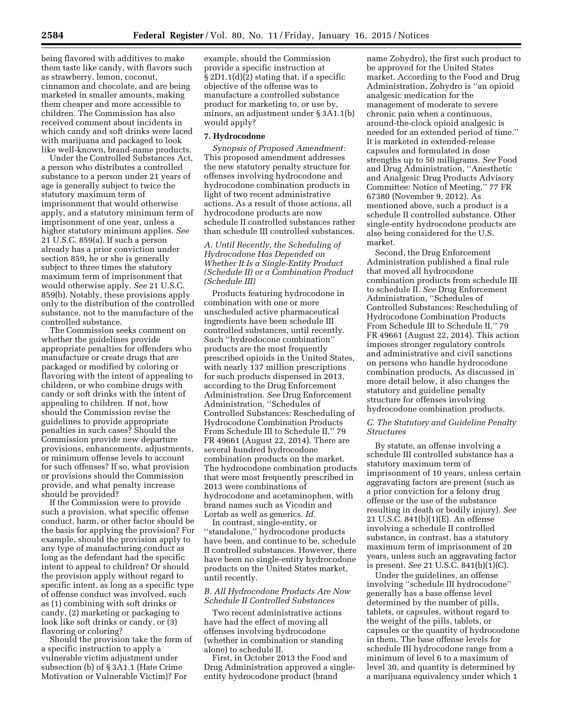being flavored with additives to make them taste like candy, with flavors such as strawberry, lemon, coconut, cinnamon and chocolate, and are being marketed in smaller amounts, making them cheaper and more accessible to children. The Commission has also received comment about incidents in which candy and soft drinks were laced with marijuana and packaged to look like well-known, brand-name products.

Under the Controlled Substances Act, a person who distributes a controlled substance to a person under 21 years of age is generally subject to twice the statutory maximum term of imprisonment that would otherwise apply, and a statutory minimum term of imprisonment of one year, unless a higher statutory minimum applies. *See*  21 U.S.C. 859(a). If such a person already has a prior conviction under section 859, he or she is generally subject to three times the statutory maximum term of imprisonment that would otherwise apply. *See* 21 U.S.C. 859(b). Notably, these provisions apply only to the distribution of the controlled substance, not to the manufacture of the controlled substance.

The Commission seeks comment on whether the guidelines provide appropriate penalties for offenders who manufacture or create drugs that are packaged or modified by coloring or flavoring with the intent of appealing to children, or who combine drugs with candy or soft drinks with the intent of appealing to children. If not, how should the Commission revise the guidelines to provide appropriate penalties in such cases? Should the Commission provide new departure provisions, enhancements, adjustments, or minimum offense levels to account for such offenses? If so, what provision or provisions should the Commission provide, and what penalty increase should be provided?

If the Commission were to provide such a provision, what specific offense conduct, harm, or other factor should be the basis for applying the provision? For example, should the provision apply to any type of manufacturing conduct as long as the defendant had the specific intent to appeal to children? Or should the provision apply without regard to specific intent, as long as a specific type of offense conduct was involved, such as (1) combining with soft drinks or candy, (2) marketing or packaging to look like soft drinks or candy, or (3) flavoring or coloring?

Should the provision take the form of a specific instruction to apply a vulnerable victim adjustment under subsection (b) of § 3A1.1 (Hate Crime Motivation or Vulnerable Victim)? For

example, should the Commission provide a specific instruction at § 2D1.1(d)(2) stating that, if a specific objective of the offense was to manufacture a controlled substance product for marketing to, or use by, minors, an adjustment under § 3A1.1(b) would apply?

#### **7. Hydrocodone**

*Synopsis of Proposed Amendment:*  This proposed amendment addresses the new statutory penalty structure for offenses involving hydrocodone and hydrocodone combination products in light of two recent administrative actions. As a result of those actions, all hydrocodone products are now schedule II controlled substances rather than schedule III controlled substances.

*A. Until Recently, the Scheduling of Hydrocodone Has Depended on Whether It Is a Single-Entity Product (Schedule II) or a Combination Product (Schedule III)* 

Products featuring hydrocodone in combination with one or more unscheduled active pharmaceutical ingredients have been schedule III controlled substances, until recently. Such ''hydrodocone combination'' products are the most frequently prescribed opioids in the United States, with nearly 137 million prescriptions for such products dispensed in 2013, according to the Drug Enforcement Administration. *See* Drug Enforcement Administration, ''Schedules of Controlled Substances: Rescheduling of Hydrocodone Combination Products From Schedule III to Schedule II,'' 79 FR 49661 (August 22, 2014). There are several hundred hydrocodone combination products on the market. The hydrocodone combination products that were most frequently prescribed in 2013 were combinations of hydrocodone and acetaminophen, with brand names such as Vicodin and Lortab as well as generics. *Id.* 

In contrast, single-entity, or ''standalone,'' hydrocodone products have been, and continue to be, schedule II controlled substances. However, there have been no single-entity hydrocodone products on the United States market, until recently.

# *B. All Hydrocodone Products Are Now Schedule II Controlled Substances*

Two recent administrative actions have had the effect of moving all offenses involving hydrocodone (whether in combination or standing alone) to schedule II.

First, in October 2013 the Food and Drug Administration approved a singleentity hydrocodone product (brand

name Zohydro), the first such product to be approved for the United States market. According to the Food and Drug Administration, Zohydro is ''an opioid analgesic medication for the management of moderate to severe chronic pain when a continuous, around-the-clock opioid analgesic is needed for an extended period of time.'' It is marketed in extended-release capsules and formulated in dose strengths up to 50 milligrams. *See* Food and Drug Administration, ''Anesthetic and Analgesic Drug Products Advisory Committee: Notice of Meeting,'' 77 FR 67380 (November 9, 2012). As mentioned above, such a product is a schedule II controlled substance. Other single-entity hydrocodone products are also being considered for the U.S. market.

Second, the Drug Enforcement Administration published a final rule that moved all hydrocodone combination products from schedule III to schedule II. *See* Drug Enforcement Administration, ''Schedules of Controlled Substances: Rescheduling of Hydrocodone Combination Products From Schedule III to Schedule II,'' 79 FR 49661 (August 22, 2014). This action imposes stronger regulatory controls and administrative and civil sanctions on persons who handle hydrocodone combination products. As discussed in more detail below, it also changes the statutory and guideline penalty structure for offenses involving hydrocodone combination products.

# *C. The Statutory and Guideline Penalty Structures*

By statute, an offense involving a schedule III controlled substance has a statutory maximum term of imprisonment of 10 years, unless certain aggravating factors are present (such as a prior conviction for a felony drug offense or the use of the substance resulting in death or bodily injury). *See*  21 U.S.C. 841(b)(1)(E). An offense involving a schedule II controlled substance, in contrast, has a statutory maximum term of imprisonment of 20 years, unless such an aggravating factor is present. *See* 21 U.S.C. 841(b)(1)(C).

Under the guidelines, an offense involving ''schedule III hydrocodone'' generally has a base offense level determined by the number of pills, tablets, or capsules, without regard to the weight of the pills, tablets, or capsules or the quantity of hydrocodone in them. The base offense levels for schedule III hydrocodone range from a minimum of level 6 to a maximum of level 30, and quantity is determined by a marijuana equivalency under which 1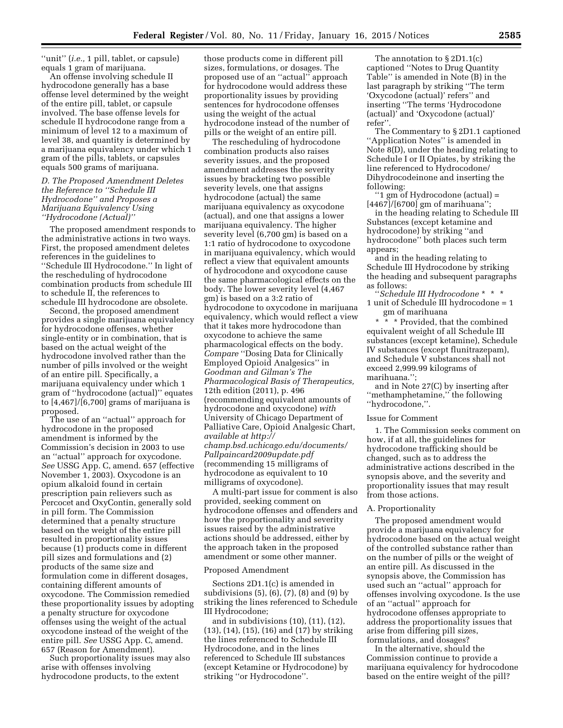''unit'' (*i.e.,* 1 pill, tablet, or capsule) equals 1 gram of marijuana.

An offense involving schedule II hydrocodone generally has a base offense level determined by the weight of the entire pill, tablet, or capsule involved. The base offense levels for schedule II hydrocodone range from a minimum of level 12 to a maximum of level 38, and quantity is determined by a marijuana equivalency under which 1 gram of the pills, tablets, or capsules equals 500 grams of marijuana.

# *D. The Proposed Amendment Deletes the Reference to ''Schedule III Hydrocodone'' and Proposes a Marijuana Equivalency Using ''Hydrocodone (Actual)''*

The proposed amendment responds to the administrative actions in two ways. First, the proposed amendment deletes references in the guidelines to ''Schedule III Hydrocodone.'' In light of the rescheduling of hydrocodone combination products from schedule III to schedule II, the references to schedule III hydrocodone are obsolete.

Second, the proposed amendment provides a single marijuana equivalency for hydrocodone offenses, whether single-entity or in combination, that is based on the actual weight of the hydrocodone involved rather than the number of pills involved or the weight of an entire pill. Specifically, a marijuana equivalency under which 1 gram of ''hydrocodone (actual)'' equates to [4,467]/[6,700] grams of marijuana is proposed.

The use of an ''actual'' approach for hydrocodone in the proposed amendment is informed by the Commission's decision in 2003 to use an ''actual'' approach for oxycodone. *See* USSG App. C, amend. 657 (effective November 1, 2003). Oxycodone is an opium alkaloid found in certain prescription pain relievers such as Percocet and OxyContin, generally sold in pill form. The Commission determined that a penalty structure based on the weight of the entire pill resulted in proportionality issues because (1) products come in different pill sizes and formulations and (2) products of the same size and formulation come in different dosages, containing different amounts of oxycodone. The Commission remedied these proportionality issues by adopting a penalty structure for oxycodone offenses using the weight of the actual oxycodone instead of the weight of the entire pill. *See* USSG App. C, amend. 657 (Reason for Amendment).

Such proportionality issues may also arise with offenses involving hydrocodone products, to the extent

those products come in different pill sizes, formulations, or dosages. The proposed use of an ''actual'' approach for hydrocodone would address these proportionality issues by providing sentences for hydrocodone offenses using the weight of the actual hydrocodone instead of the number of pills or the weight of an entire pill.

The rescheduling of hydrocodone combination products also raises severity issues, and the proposed amendment addresses the severity issues by bracketing two possible severity levels, one that assigns hydrocodone (actual) the same marijuana equivalency as oxycodone (actual), and one that assigns a lower marijuana equivalency. The higher severity level (6,700 gm) is based on a 1:1 ratio of hydrocodone to oxycodone in marijuana equivalency, which would reflect a view that equivalent amounts of hydrocodone and oxycodone cause the same pharmacological effects on the body. The lower severity level (4,467 gm) is based on a 3:2 ratio of hydrocodone to oxycodone in marijuana equivalency, which would reflect a view that it takes more hydrocodone than oxycodone to achieve the same pharmacological effects on the body. *Compare* ''Dosing Data for Clinically Employed Opioid Analgesics'' in *Goodman and Gilman's The Pharmacological Basis of Therapeutics,*  12th edition (2011), p. 496 (recommending equivalent amounts of hydrocodone and oxycodone) *with*  University of Chicago Department of Palliative Care, Opioid Analgesic Chart, *available at [http://](http://champ.bsd.uchicago.edu/documents/Pallpaincard2009update.pdf) [champ.bsd.uchicago.edu/documents/](http://champ.bsd.uchicago.edu/documents/Pallpaincard2009update.pdf) [Pallpaincard2009update.pdf](http://champ.bsd.uchicago.edu/documents/Pallpaincard2009update.pdf)*  (recommending 15 milligrams of hydrocodone as equivalent to 10 milligrams of oxycodone).

A multi-part issue for comment is also provided, seeking comment on hydrocodone offenses and offenders and how the proportionality and severity issues raised by the administrative actions should be addressed, either by the approach taken in the proposed amendment or some other manner.

#### Proposed Amendment

Sections 2D1.1(c) is amended in subdivisions (5), (6), (7), (8) and (9) by striking the lines referenced to Schedule III Hydrocodone;

and in subdivisions (10), (11), (12), (13), (14), (15), (16) and (17) by striking the lines referenced to Schedule III Hydrocodone, and in the lines referenced to Schedule III substances (except Ketamine or Hydrocodone) by striking ''or Hydrocodone''.

The annotation to § 2D1.1(c) captioned ''Notes to Drug Quantity Table'' is amended in Note (B) in the last paragraph by striking ''The term 'Oxycodone (actual)' refers'' and inserting ''The terms 'Hydrocodone (actual)' and 'Oxycodone (actual)' refer''.

The Commentary to § 2D1.1 captioned ''Application Notes'' is amended in Note 8(D), under the heading relating to Schedule I or II Opiates, by striking the line referenced to Hydrocodone/ Dihydrocodeinone and inserting the following:

''1 gm of Hydrocodone (actual) = [4467]/[6700] gm of marihuana'';

in the heading relating to Schedule III Substances (except ketamine and hydrocodone) by striking ''and hydrocodone'' both places such term appears;

and in the heading relating to Schedule III Hydrocodone by striking the heading and subsequent paragraphs as follows:

''*Schedule III Hydrocodone* \* \* \* 1 unit of Schedule III hydrocodone = 1 gm of marihuana

\* \* \* Provided, that the combined equivalent weight of all Schedule III substances (except ketamine), Schedule IV substances (except flunitrazepam), and Schedule V substances shall not exceed 2,999.99 kilograms of marihuana.'';

and in Note 27(C) by inserting after ''methamphetamine,'' the following ''hydrocodone,''.

## Issue for Comment

1. The Commission seeks comment on how, if at all, the guidelines for hydrocodone trafficking should be changed, such as to address the administrative actions described in the synopsis above, and the severity and proportionality issues that may result from those actions.

#### A. Proportionality

The proposed amendment would provide a marijuana equivalency for hydrocodone based on the actual weight of the controlled substance rather than on the number of pills or the weight of an entire pill. As discussed in the synopsis above, the Commission has used such an ''actual'' approach for offenses involving oxycodone. Is the use of an ''actual'' approach for hydrocodone offenses appropriate to address the proportionality issues that arise from differing pill sizes, formulations, and dosages?

In the alternative, should the Commission continue to provide a marijuana equivalency for hydrocodone based on the entire weight of the pill?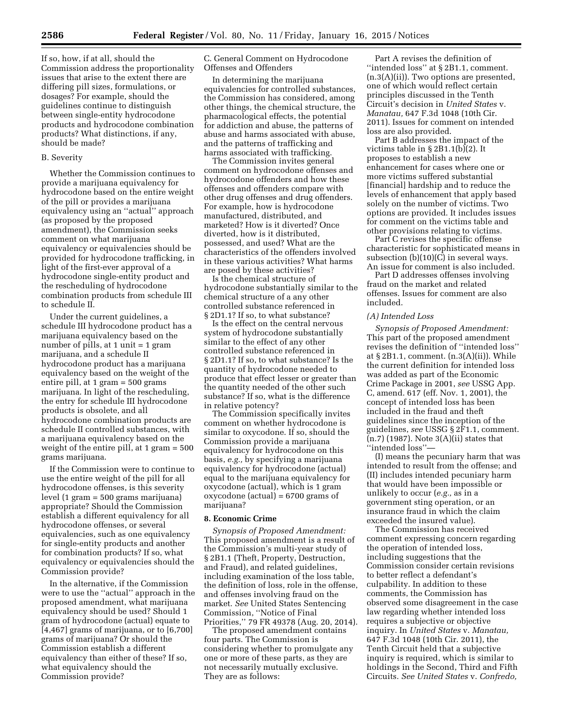If so, how, if at all, should the Commission address the proportionality issues that arise to the extent there are differing pill sizes, formulations, or dosages? For example, should the guidelines continue to distinguish between single-entity hydrocodone products and hydrocodone combination products? What distinctions, if any, should be made?

#### B. Severity

Whether the Commission continues to provide a marijuana equivalency for hydrocodone based on the entire weight of the pill or provides a marijuana equivalency using an ''actual'' approach (as proposed by the proposed amendment), the Commission seeks comment on what marijuana equivalency or equivalencies should be provided for hydrocodone trafficking, in light of the first-ever approval of a hydrocodone single-entity product and the rescheduling of hydrocodone combination products from schedule III to schedule II.

Under the current guidelines, a schedule III hydrocodone product has a marijuana equivalency based on the number of pills, at 1 unit = 1 gram marijuana, and a schedule II hydrocodone product has a marijuana equivalency based on the weight of the entire pill, at 1 gram = 500 grams marijuana. In light of the rescheduling, the entry for schedule III hydrocodone products is obsolete, and all hydrocodone combination products are schedule II controlled substances, with a marijuana equivalency based on the weight of the entire pill, at 1 gram = 500 grams marijuana.

If the Commission were to continue to use the entire weight of the pill for all hydrocodone offenses, is this severity level (1 gram = 500 grams marijuana) appropriate? Should the Commission establish a different equivalency for all hydrocodone offenses, or several equivalencies, such as one equivalency for single-entity products and another for combination products? If so, what equivalency or equivalencies should the Commission provide?

In the alternative, if the Commission were to use the ''actual'' approach in the proposed amendment, what marijuana equivalency should be used? Should 1 gram of hydrocodone (actual) equate to [4,467] grams of marijuana, or to [6,700] grams of marijuana? Or should the Commission establish a different equivalency than either of these? If so, what equivalency should the Commission provide?

# C. General Comment on Hydrocodone Offenses and Offenders

In determining the marijuana equivalencies for controlled substances, the Commission has considered, among other things, the chemical structure, the pharmacological effects, the potential for addiction and abuse, the patterns of abuse and harms associated with abuse, and the patterns of trafficking and harms associated with trafficking.

The Commission invites general comment on hydrocodone offenses and hydrocodone offenders and how these offenses and offenders compare with other drug offenses and drug offenders. For example, how is hydrocodone manufactured, distributed, and marketed? How is it diverted? Once diverted, how is it distributed, possessed, and used? What are the characteristics of the offenders involved in these various activities? What harms are posed by these activities?

Is the chemical structure of hydrocodone substantially similar to the chemical structure of a any other controlled substance referenced in § 2D1.1? If so, to what substance?

Is the effect on the central nervous system of hydrocodone substantially similar to the effect of any other controlled substance referenced in § 2D1.1? If so, to what substance? Is the quantity of hydrocodone needed to produce that effect lesser or greater than the quantity needed of the other such substance? If so, what is the difference in relative potency?

The Commission specifically invites comment on whether hydrocodone is similar to oxycodone. If so, should the Commission provide a marijuana equivalency for hydrocodone on this basis, *e.g.,* by specifying a marijuana equivalency for hydrocodone (actual) equal to the marijuana equivalency for oxycodone (actual), which is 1 gram oxycodone (actual) = 6700 grams of marijuana?

#### **8. Economic Crime**

*Synopsis of Proposed Amendment:*  This proposed amendment is a result of the Commission's multi-year study of § 2B1.1 (Theft, Property, Destruction, and Fraud), and related guidelines, including examination of the loss table, the definition of loss, role in the offense, and offenses involving fraud on the market. *See* United States Sentencing Commission, ''Notice of Final Priorities,'' 79 FR 49378 (Aug. 20, 2014).

The proposed amendment contains four parts. The Commission is considering whether to promulgate any one or more of these parts, as they are not necessarily mutually exclusive. They are as follows:

Part A revises the definition of ''intended loss'' at § 2B1.1, comment. (n.3(A)(ii)). Two options are presented, one of which would reflect certain principles discussed in the Tenth Circuit's decision in *United States* v. *Manatau,* 647 F.3d 1048 (10th Cir. 2011). Issues for comment on intended loss are also provided.

Part B addresses the impact of the victims table in § 2B1.1(b)(2). It proposes to establish a new enhancement for cases where one or more victims suffered substantial [financial] hardship and to reduce the levels of enhancement that apply based solely on the number of victims. Two options are provided. It includes issues for comment on the victims table and other provisions relating to victims.

Part C revises the specific offense characteristic for sophisticated means in subsection  $(b)(10)(C)$  in several ways. An issue for comment is also included.

Part D addresses offenses involving fraud on the market and related offenses. Issues for comment are also included.

# *(A) Intended Loss*

*Synopsis of Proposed Amendment:*  This part of the proposed amendment revises the definition of ''intended loss'' at § 2B1.1, comment. (n.3(A)(ii)). While the current definition for intended loss was added as part of the Economic Crime Package in 2001, *see* USSG App. C, amend. 617 (eff. Nov. 1, 2001), the concept of intended loss has been included in the fraud and theft guidelines since the inception of the guidelines, *see* USSG § 2F1.1, comment. (n.7) (1987). Note 3(A)(ii) states that ''intended loss''—

(I) means the pecuniary harm that was intended to result from the offense; and (II) includes intended pecuniary harm that would have been impossible or unlikely to occur (*e.g.,* as in a government sting operation, or an insurance fraud in which the claim exceeded the insured value).

The Commission has received comment expressing concern regarding the operation of intended loss, including suggestions that the Commission consider certain revisions to better reflect a defendant's culpability. In addition to these comments, the Commission has observed some disagreement in the case law regarding whether intended loss requires a subjective or objective inquiry. In *United States* v. *Manatau,*  647 F.3d 1048 (10th Cir. 2011), the Tenth Circuit held that a subjective inquiry is required, which is similar to holdings in the Second, Third and Fifth Circuits. *See United States* v. *Confredo,*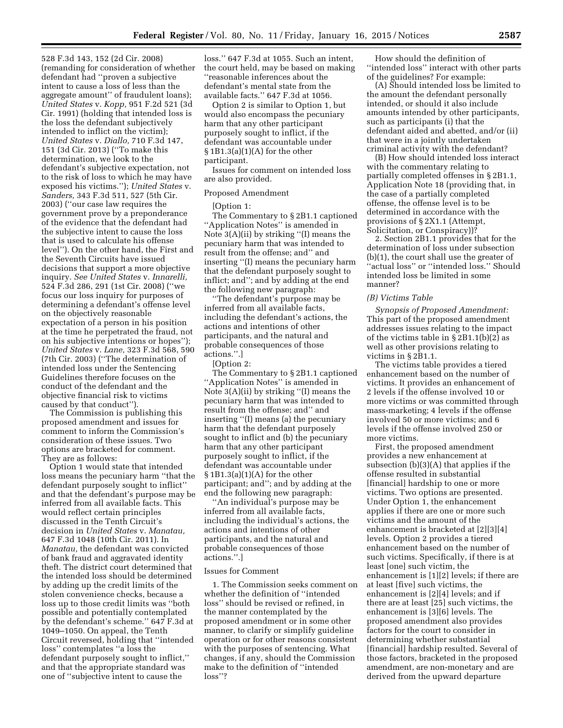528 F.3d 143, 152 (2d Cir. 2008) (remanding for consideration of whether defendant had ''proven a subjective intent to cause a loss of less than the aggregate amount'' of fraudulent loans); *United States* v. *Kopp,* 951 F.2d 521 (3d Cir. 1991) (holding that intended loss is the loss the defendant subjectively intended to inflict on the victim); *United States* v. *Diallo,* 710 F.3d 147, 151 (3d Cir. 2013) (''To make this determination, we look to the defendant's subjective expectation, not to the risk of loss to which he may have exposed his victims.''); *United States* v. *Sanders,* 343 F.3d 511, 527 (5th Cir. 2003) (''our case law requires the government prove by a preponderance of the evidence that the defendant had the subjective intent to cause the loss that is used to calculate his offense level''). On the other hand, the First and the Seventh Circuits have issued decisions that support a more objective inquiry. *See United States* v. *Innarelli,*  524 F.3d 286, 291 (1st Cir. 2008) (''we focus our loss inquiry for purposes of determining a defendant's offense level on the objectively reasonable expectation of a person in his position at the time he perpetrated the fraud, not on his subjective intentions or hopes''); *United States* v. *Lane,* 323 F.3d 568, 590 (7th Cir. 2003) (''The determination of intended loss under the Sentencing Guidelines therefore focuses on the conduct of the defendant and the objective financial risk to victims caused by that conduct'').

The Commission is publishing this proposed amendment and issues for comment to inform the Commission's consideration of these issues. Two options are bracketed for comment. They are as follows:

Option 1 would state that intended loss means the pecuniary harm ''that the defendant purposely sought to inflict'' and that the defendant's purpose may be inferred from all available facts. This would reflect certain principles discussed in the Tenth Circuit's decision in *United States* v. *Manatau,*  647 F.3d 1048 (10th Cir. 2011). In *Manatau,* the defendant was convicted of bank fraud and aggravated identity theft. The district court determined that the intended loss should be determined by adding up the credit limits of the stolen convenience checks, because a loss up to those credit limits was ''both possible and potentially contemplated by the defendant's scheme.'' 647 F.3d at 1049–1050. On appeal, the Tenth Circuit reversed, holding that ''intended loss'' contemplates ''a loss the defendant purposely sought to inflict,'' and that the appropriate standard was one of ''subjective intent to cause the

loss.'' 647 F.3d at 1055. Such an intent, the court held, may be based on making ''reasonable inferences about the defendant's mental state from the available facts.'' 647 F.3d at 1056.

Option 2 is similar to Option 1, but would also encompass the pecuniary harm that any other participant purposely sought to inflict, if the defendant was accountable under § 1B1.3(a)(1)(A) for the other participant.

Issues for comment on intended loss are also provided.

# Proposed Amendment

# [Option 1:

The Commentary to § 2B1.1 captioned ''Application Notes'' is amended in Note 3(A)(ii) by striking ''(I) means the pecuniary harm that was intended to result from the offense; and'' and inserting ''(I) means the pecuniary harm that the defendant purposely sought to inflict; and''; and by adding at the end the following new paragraph:

''The defendant's purpose may be inferred from all available facts, including the defendant's actions, the actions and intentions of other participants, and the natural and probable consequences of those actions.''.]

# [Option 2:

The Commentary to § 2B1.1 captioned ''Application Notes'' is amended in Note 3(A)(ii) by striking ''(I) means the pecuniary harm that was intended to result from the offense; and'' and inserting ''(I) means (a) the pecuniary harm that the defendant purposely sought to inflict and (b) the pecuniary harm that any other participant purposely sought to inflict, if the defendant was accountable under  $§ 1B1.3(a)(1)(A)$  for the other participant; and''; and by adding at the end the following new paragraph:

''An individual's purpose may be inferred from all available facts, including the individual's actions, the actions and intentions of other participants, and the natural and probable consequences of those actions.''.]

#### Issues for Comment

1. The Commission seeks comment on whether the definition of ''intended loss'' should be revised or refined, in the manner contemplated by the proposed amendment or in some other manner, to clarify or simplify guideline operation or for other reasons consistent with the purposes of sentencing. What changes, if any, should the Commission make to the definition of ''intended loss''?

How should the definition of ''intended loss'' interact with other parts of the guidelines? For example:

(A) Should intended loss be limited to the amount the defendant personally intended, or should it also include amounts intended by other participants, such as participants (i) that the defendant aided and abetted, and/or (ii) that were in a jointly undertaken criminal activity with the defendant?

(B) How should intended loss interact with the commentary relating to partially completed offenses in § 2B1.1, Application Note 18 (providing that, in the case of a partially completed offense, the offense level is to be determined in accordance with the provisions of § 2X1.1 (Attempt, Solicitation, or Conspiracy))?

2. Section 2B1.1 provides that for the determination of loss under subsection (b)(1), the court shall use the greater of "actual loss" or "intended loss." Should intended loss be limited in some manner?

#### *(B) Victims Table*

*Synopsis of Proposed Amendment:*  This part of the proposed amendment addresses issues relating to the impact of the victims table in  $\S 2B1.1(b)(2)$  as well as other provisions relating to victims in § 2B1.1.

The victims table provides a tiered enhancement based on the number of victims. It provides an enhancement of 2 levels if the offense involved 10 or more victims or was committed through mass-marketing; 4 levels if the offense involved 50 or more victims; and 6 levels if the offense involved 250 or more victims.

First, the proposed amendment provides a new enhancement at subsection (b)(3)(A) that applies if the offense resulted in substantial [financial] hardship to one or more victims. Two options are presented. Under Option 1, the enhancement applies if there are one or more such victims and the amount of the enhancement is bracketed at [2][3][4] levels. Option 2 provides a tiered enhancement based on the number of such victims. Specifically, if there is at least [one] such victim, the enhancement is [1][2] levels; if there are at least [five] such victims, the enhancement is [2][4] levels; and if there are at least [25] such victims, the enhancement is [3][6] levels. The proposed amendment also provides factors for the court to consider in determining whether substantial [financial] hardship resulted. Several of those factors, bracketed in the proposed amendment, are non-monetary and are derived from the upward departure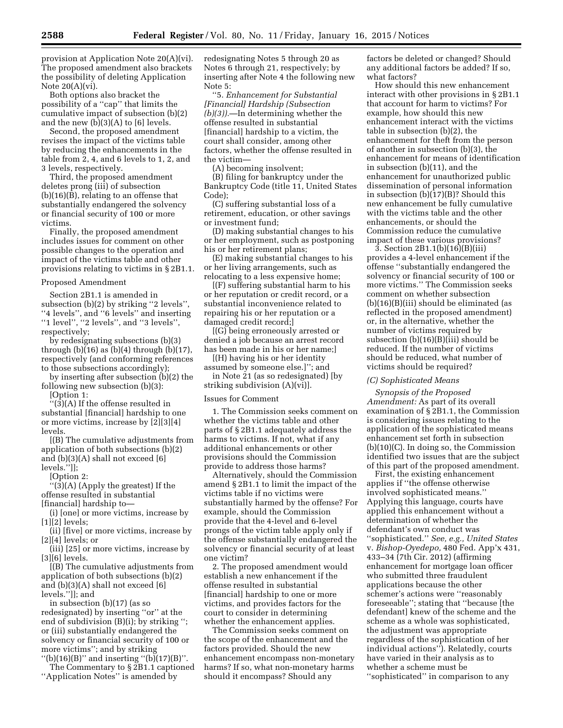provision at Application Note 20(A)(vi). The proposed amendment also brackets the possibility of deleting Application Note 20(A)(vi).

Both options also bracket the possibility of a ''cap'' that limits the cumulative impact of subsection (b)(2) and the new (b)(3)(A) to [6] levels.

Second, the proposed amendment revises the impact of the victims table by reducing the enhancements in the table from 2, 4, and 6 levels to 1, 2, and 3 levels, respectively.

Third, the proposed amendment deletes prong (iii) of subsection (b)(16)(B), relating to an offense that substantially endangered the solvency or financial security of 100 or more victims.

Finally, the proposed amendment includes issues for comment on other possible changes to the operation and impact of the victims table and other provisions relating to victims in § 2B1.1.

#### Proposed Amendment

Section 2B1.1 is amended in subsection (b)(2) by striking ''2 levels'', ''4 levels'', and ''6 levels'' and inserting ''1 level'', ''2 levels'', and ''3 levels'', respectively;

by redesignating subsections (b)(3) through  $(b)(16)$  as  $(b)(4)$  through  $(b)(17)$ , respectively (and conforming references to those subsections accordingly);

by inserting after subsection (b)(2) the following new subsection (b)(3):

[Option 1:

''(3)(A) If the offense resulted in substantial [financial] hardship to one or more victims, increase by [2][3][4] levels.

[(B) The cumulative adjustments from application of both subsections (b)(2) and (b)(3)(A) shall not exceed [6] levels.'']];

[Option 2:

''(3)(A) (Apply the greatest) If the offense resulted in substantial [financial] hardship to—

(i) [one] or more victims, increase by [1][2] levels;

(ii) [five] or more victims, increase by [2][4] levels; or

(iii) [25] or more victims, increase by  $[3][6]$  levels.

[(B) The cumulative adjustments from application of both subsections (b)(2) and (b)(3)(A) shall not exceed [6] levels.'']]; and

in subsection (b)(17) (as so redesignated) by inserting ''or'' at the end of subdivision (B)(i); by striking ''; or (iii) substantially endangered the solvency or financial security of 100 or more victims''; and by striking  $\lq\lq(b)(16)(B)$ " and inserting "(b)(17)(B)".

The Commentary to  $\S 2B1.1$  captioned ''Application Notes'' is amended by

redesignating Notes 5 through 20 as Notes 6 through 21, respectively; by inserting after Note 4 the following new Note 5:

''5. *Enhancement for Substantial [Financial] Hardship (Subsection (b)(3)).*—In determining whether the offense resulted in substantial [financial] hardship to a victim, the court shall consider, among other factors, whether the offense resulted in the victim—

(A) becoming insolvent;

(B) filing for bankruptcy under the Bankruptcy Code (title 11, United States Code);

(C) suffering substantial loss of a retirement, education, or other savings or investment fund;

(D) making substantial changes to his or her employment, such as postponing his or her retirement plans;

(E) making substantial changes to his or her living arrangements, such as relocating to a less expensive home;

[(F) suffering substantial harm to his or her reputation or credit record, or a substantial inconvenience related to repairing his or her reputation or a damaged credit record;]

[(G) being erroneously arrested or denied a job because an arrest record has been made in his or her name;]

[(H) having his or her identity assumed by someone else.]''; and

in Note 21 (as so redesignated) [by striking subdivision (A)(vi)].

# Issues for Comment

1. The Commission seeks comment on whether the victims table and other parts of § 2B1.1 adequately address the harms to victims. If not, what if any additional enhancements or other provisions should the Commission provide to address those harms?

Alternatively, should the Commission amend § 2B1.1 to limit the impact of the victims table if no victims were substantially harmed by the offense? For example, should the Commission provide that the 4-level and 6-level prongs of the victim table apply only if the offense substantially endangered the solvency or financial security of at least one victim?

2. The proposed amendment would establish a new enhancement if the offense resulted in substantial [financial] hardship to one or more victims, and provides factors for the court to consider in determining whether the enhancement applies.

The Commission seeks comment on the scope of the enhancement and the factors provided. Should the new enhancement encompass non-monetary harms? If so, what non-monetary harms should it encompass? Should any

factors be deleted or changed? Should any additional factors be added? If so, what factors?

How should this new enhancement interact with other provisions in § 2B1.1 that account for harm to victims? For example, how should this new enhancement interact with the victims table in subsection (b)(2), the enhancement for theft from the person of another in subsection (b)(3), the enhancement for means of identification in subsection (b)(11), and the enhancement for unauthorized public dissemination of personal information in subsection (b)(17)(B)? Should this new enhancement be fully cumulative with the victims table and the other enhancements, or should the Commission reduce the cumulative impact of these various provisions?

3. Section 2B1.1(b)(16)(B)(iii) provides a 4-level enhancement if the offense ''substantially endangered the solvency or financial security of 100 or more victims.'' The Commission seeks comment on whether subsection  $(b)(16)(B)(iii)$  should be eliminated (as reflected in the proposed amendment) or, in the alternative, whether the number of victims required by subsection (b)(16)(B)(iii) should be reduced. If the number of victims should be reduced, what number of victims should be required?

# *(C) Sophisticated Means*

*Synopsis of the Proposed Amendment:* As part of its overall examination of § 2B1.1, the Commission is considering issues relating to the application of the sophisticated means enhancement set forth in subsection (b)(10)(C). In doing so, the Commission identified two issues that are the subject of this part of the proposed amendment.

First, the existing enhancement applies if ''the offense otherwise involved sophisticated means.'' Applying this language, courts have applied this enhancement without a determination of whether the defendant's own conduct was ''sophisticated.'' *See, e.g., United States*  v. *Bishop-Oyedepo,* 480 Fed. App'x 431, 433–34 (7th Cir. 2012) (affirming enhancement for mortgage loan officer who submitted three fraudulent applications because the other schemer's actions were ''reasonably foreseeable''; stating that ''because [the defendant] knew of the scheme and the scheme as a whole was sophisticated, the adjustment was appropriate regardless of the sophistication of her individual actions''). Relatedly, courts have varied in their analysis as to whether a scheme must be

''sophisticated'' in comparison to any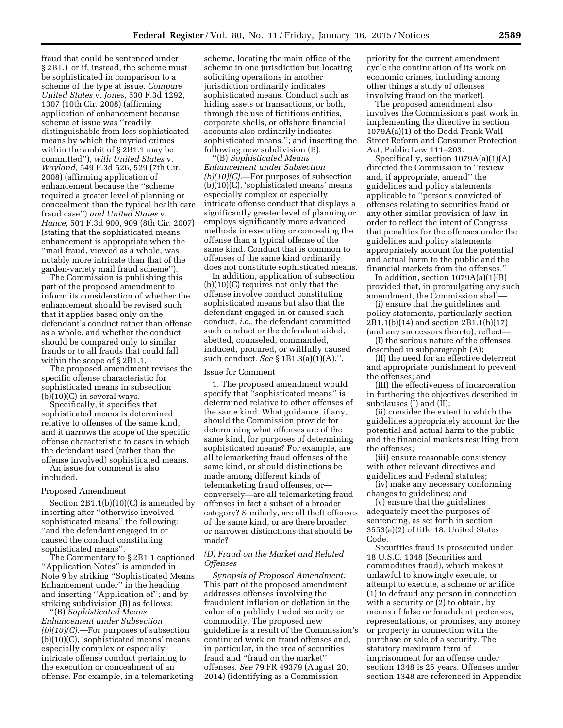fraud that could be sentenced under § 2B1.1 or if, instead, the scheme must be sophisticated in comparison to a scheme of the type at issue. *Compare United States* v. *Jones,* 530 F.3d 1292, 1307 (10th Cir. 2008) (affirming application of enhancement because scheme at issue was ''readily distinguishable from less sophisticated means by which the myriad crimes within the ambit of § 2B1.1 may be committed''), *with United States* v. *Wayland,* 549 F.3d 526, 529 (7th Cir. 2008) (affirming application of enhancement because the ''scheme required a greater level of planning or concealment than the typical health care fraud case'') *and United States* v. *Hance,* 501 F.3d 900, 909 (8th Cir. 2007) (stating that the sophisticated means enhancement is appropriate when the ''mail fraud, viewed as a whole, was notably more intricate than that of the garden-variety mail fraud scheme'').

The Commission is publishing this part of the proposed amendment to inform its consideration of whether the enhancement should be revised such that it applies based only on the defendant's conduct rather than offense as a whole, and whether the conduct should be compared only to similar frauds or to all frauds that could fall within the scope of § 2B1.1.

The proposed amendment revises the specific offense characteristic for sophisticated means in subsection  $(b)(10)(C)$  in several ways.

Specifically, it specifies that sophisticated means is determined relative to offenses of the same kind, and it narrows the scope of the specific offense characteristic to cases in which the defendant used (rather than the offense involved) sophisticated means.

An issue for comment is also included.

#### Proposed Amendment

Section 2B1.1(b)(10)(C) is amended by inserting after ''otherwise involved sophisticated means'' the following: ''and the defendant engaged in or caused the conduct constituting sophisticated means''.

The Commentary to § 2B1.1 captioned ''Application Notes'' is amended in Note 9 by striking ''Sophisticated Means Enhancement under'' in the heading and inserting ''Application of''; and by striking subdivision (B) as follows:

''(B) *Sophisticated Means Enhancement under Subsection (b)(10)(C).*—For purposes of subsection (b)(10)(C), 'sophisticated means' means especially complex or especially intricate offense conduct pertaining to the execution or concealment of an offense. For example, in a telemarketing scheme, locating the main office of the scheme in one jurisdiction but locating soliciting operations in another jurisdiction ordinarily indicates sophisticated means. Conduct such as hiding assets or transactions, or both, through the use of fictitious entities, corporate shells, or offshore financial accounts also ordinarily indicates sophisticated means.''; and inserting the following new subdivision (B):

''(B) *Sophisticated Means Enhancement under Subsection (b)(10)(C).*—For purposes of subsection (b)(10)(C), 'sophisticated means' means especially complex or especially intricate offense conduct that displays a significantly greater level of planning or employs significantly more advanced methods in executing or concealing the offense than a typical offense of the same kind. Conduct that is common to offenses of the same kind ordinarily does not constitute sophisticated means.

In addition, application of subsection (b)(10)(C) requires not only that the offense involve conduct constituting sophisticated means but also that the defendant engaged in or caused such conduct, *i.e.,* the defendant committed such conduct or the defendant aided, abetted, counseled, commanded, induced, procured, or willfully caused such conduct. *See* § 1B1.3(a)(1)(A).''.

# Issue for Comment

1. The proposed amendment would specify that ''sophisticated means'' is determined relative to other offenses of the same kind. What guidance, if any, should the Commission provide for determining what offenses are of the same kind, for purposes of determining sophisticated means? For example, are all telemarketing fraud offenses of the same kind, or should distinctions be made among different kinds of telemarketing fraud offenses, or conversely—are all telemarketing fraud offenses in fact a subset of a broader category? Similarly, are all theft offenses of the same kind, or are there broader or narrower distinctions that should be made?

# *(D) Fraud on the Market and Related Offenses*

*Synopsis of Proposed Amendment:*  This part of the proposed amendment addresses offenses involving the fraudulent inflation or deflation in the value of a publicly traded security or commodity. The proposed new guideline is a result of the Commission's continued work on fraud offenses and, in particular, in the area of securities fraud and ''fraud on the market'' offenses. *See* 79 FR 49379 (August 20, 2014) (identifying as a Commission

priority for the current amendment cycle the continuation of its work on economic crimes, including among other things a study of offenses involving fraud on the market).

The proposed amendment also involves the Commission's past work in implementing the directive in section 1079A(a)(1) of the Dodd-Frank Wall Street Reform and Consumer Protection Act, Public Law 111–203.

Specifically, section 1079A(a)(1)(A) directed the Commission to ''review and, if appropriate, amend'' the guidelines and policy statements applicable to ''persons convicted of offenses relating to securities fraud or any other similar provision of law, in order to reflect the intent of Congress that penalties for the offenses under the guidelines and policy statements appropriately account for the potential and actual harm to the public and the financial markets from the offenses.''

In addition, section 1079A(a)(1)(B) provided that, in promulgating any such amendment, the Commission shall—

(i) ensure that the guidelines and policy statements, particularly section 2B1.1(b)(14) and section 2B1.1(b)(17) (and any successors thereto), reflect—

(I) the serious nature of the offenses described in subparagraph (A);

(II) the need for an effective deterrent and appropriate punishment to prevent the offenses; and

(III) the effectiveness of incarceration in furthering the objectives described in subclauses (I) and (II);

(ii) consider the extent to which the guidelines appropriately account for the potential and actual harm to the public and the financial markets resulting from the offenses;

(iii) ensure reasonable consistency with other relevant directives and guidelines and Federal statutes;

(iv) make any necessary conforming changes to guidelines; and

(v) ensure that the guidelines adequately meet the purposes of sentencing, as set forth in section 3553(a)(2) of title 18, United States Code.

Securities fraud is prosecuted under 18 U.S.C. 1348 (Securities and commodities fraud), which makes it unlawful to knowingly execute, or attempt to execute, a scheme or artifice (1) to defraud any person in connection with a security or (2) to obtain, by means of false or fraudulent pretenses, representations, or promises, any money or property in connection with the purchase or sale of a security. The statutory maximum term of imprisonment for an offense under section 1348 is 25 years. Offenses under section 1348 are referenced in Appendix